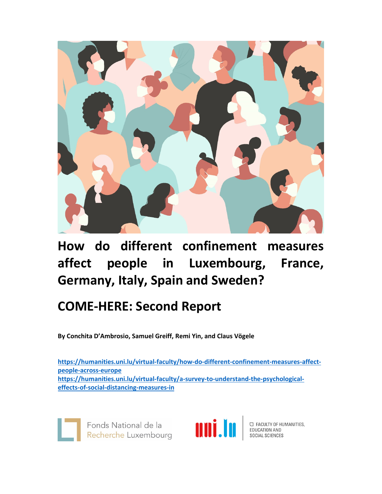

**How do different confinement measures affect people in Luxembourg, France, Germany, Italy, Spain and Sweden?**

# **COME‐HERE: Second Report**

**By Conchita D'Ambrosio, Samuel Greiff, Remi Yin, and Claus Vögele** 

**https://humanities.uni.lu/virtual‐faculty/how‐do‐different‐confinement‐measures‐affect‐ people‐across‐europe https://humanities.uni.lu/virtual‐faculty/a‐survey‐to‐understand‐the‐psychological‐ effects‐of‐social‐distancing‐measures‐in**

Fonds National de la<br>Recherche Luxembourg<br>Recherche Luxembourg<br>Recherche Luxembourg<br>Recherche Luxembourg Fonds National de la



O FACULTY OF HUMANITIES,<br>EDUCATION AND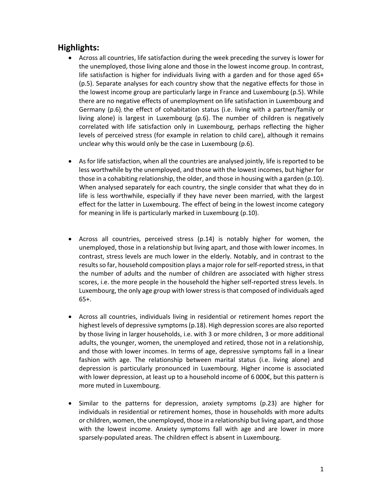# **Highlights:**

- Across all countries, life satisfaction during the week preceding the survey is lower for the unemployed, those living alone and those in the lowest income group. In contrast, life satisfaction is higher for individuals living with a garden and for those aged 65+ (p.5). Separate analyses for each country show that the negative effects for those in the lowest income group are particularly large in France and Luxembourg (p.5). While there are no negative effects of unemployment on life satisfaction in Luxembourg and Germany (p.6), the effect of cohabitation status (i.e. living with a partner/family or living alone) is largest in Luxembourg (p.6). The number of children is negatively correlated with life satisfaction only in Luxembourg, perhaps reflecting the higher levels of perceived stress (for example in relation to child care), although it remains unclear why this would only be the case in Luxembourg (p.6).
- As for life satisfaction, when all the countries are analysed jointly, life is reported to be less worthwhile by the unemployed, and those with the lowest incomes, but higher for those in a cohabiting relationship, the older, and those in housing with a garden (p.10). When analysed separately for each country, the single consider that what they do in life is less worthwhile, especially if they have never been married, with the largest effect for the latter in Luxembourg. The effect of being in the lowest income category for meaning in life is particularly marked in Luxembourg (p.10).
- Across all countries, perceived stress (p.14) is notably higher for women, the unemployed, those in a relationship but living apart, and those with lower incomes. In contrast, stress levels are much lower in the elderly. Notably, and in contrast to the resultsso far, household composition plays a major role forself‐reported stress, in that the number of adults and the number of children are associated with higher stress scores, i.e. the more people in the household the higher self-reported stress levels. In Luxembourg, the only age group with lowerstressisthat composed of individuals aged 65+.
- Across all countries, individuals living in residential or retirement homes report the highest levels of depressive symptoms(p.18). High depression scores are also reported by those living in larger households, i.e. with 3 or more children, 3 or more additional adults, the younger, women, the unemployed and retired, those not in a relationship, and those with lower incomes. In terms of age, depressive symptoms fall in a linear fashion with age. The relationship between marital status (i.e. living alone) and depression is particularly pronounced in Luxembourg. Higher income is associated with lower depression, at least up to a household income of 6 000€, but this pattern is more muted in Luxembourg.
- Similar to the patterns for depression, anxiety symptoms (p.23) are higher for individuals in residential or retirement homes, those in households with more adults or children, women, the unemployed, those in a relationship but living apart, and those with the lowest income. Anxiety symptoms fall with age and are lower in more sparsely‐populated areas. The children effect is absent in Luxembourg.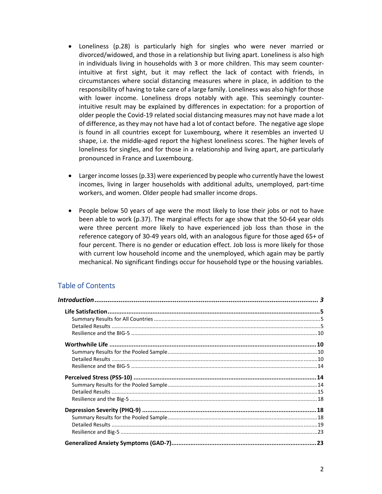- Loneliness (p.28) is particularly high for singles who were never married or divorced/widowed, and those in a relationship but living apart. Loneliness is also high in individuals living in households with 3 or more children. This may seem counter‐ intuitive at first sight, but it may reflect the lack of contact with friends, in circumstances where social distancing measures where in place, in addition to the responsibility of having to take care of a large family. Loneliness was also high for those with lower income. Loneliness drops notably with age. This seemingly counter‐ intuitive result may be explained by differences in expectation: for a proportion of older people the Covid‐19 related social distancing measures may not have made a lot of difference, as they may not have had a lot of contact before. The negative age slope is found in all countries except for Luxembourg, where it resembles an inverted U shape, i.e. the middle‐aged report the highest loneliness scores. The higher levels of loneliness for singles, and for those in a relationship and living apart, are particularly pronounced in France and Luxembourg.
- Larger income losses(p.33) were experienced by people who currently have the lowest incomes, living in larger households with additional adults, unemployed, part‐time workers, and women. Older people had smaller income drops.
- People below 50 years of age were the most likely to lose their jobs or not to have been able to work (p.37). The marginal effects for age show that the 50‐64 year olds were three percent more likely to have experienced job loss than those in the reference category of 30‐49 years old, with an analogous figure for those aged 65+ of four percent. There is no gender or education effect. Job loss is more likely for those with current low household income and the unemployed, which again may be partly mechanical. No significant findings occur for household type or the housing variables.

# Table of Contents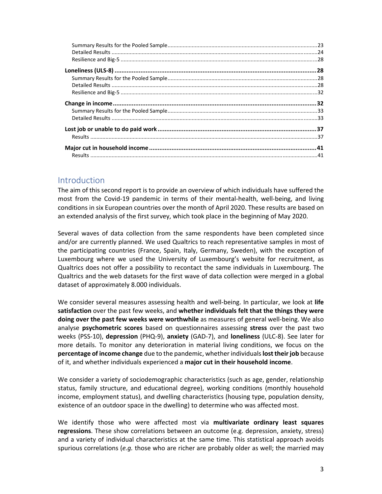# Introduction

The aim of this second report is to provide an overview of which individuals have suffered the most from the Covid-19 pandemic in terms of their mental-health, well-being, and living conditions in six European countries over the month of April 2020. These results are based on an extended analysis of the first survey, which took place in the beginning of May 2020.

Several waves of data collection from the same respondents have been completed since and/or are currently planned. We used Qualtrics to reach representative samples in most of the participating countries (France, Spain, Italy, Germany, Sweden), with the exception of Luxembourg where we used the University of Luxembourg's website for recruitment, as Qualtrics does not offer a possibility to recontact the same individuals in Luxembourg. The Qualtrics and the web datasets for the first wave of data collection were merged in a global dataset of approximately 8.000 individuals.

We consider several measures assessing health and well‐being. In particular, we look at **life satisfaction** over the past few weeks, and **whether individuals felt that the things they were doing over the past few weeks were worthwhile** as measures of general well‐being. We also analyse **psychometric scores** based on questionnaires assessing **stress** over the past two weeks (PSS‐10), **depression** (PHQ‐9), **anxiety** (GAD‐7), and **loneliness** (ULC‐8). See later for more details. To monitor any deterioration in material living conditions, we focus on the **percentage of income change** due to the pandemic, whether individuals**losttheirjob** because of it, and whether individuals experienced a **major cut in their household income**.

We consider a variety of sociodemographic characteristics (such as age, gender, relationship status, family structure, and educational degree), working conditions (monthly household income, employment status), and dwelling characteristics (housing type, population density, existence of an outdoor space in the dwelling) to determine who was affected most.

We identify those who were affected most via **multivariate ordinary least squares regressions**. These show correlations between an outcome (e.g. depression, anxiety, stress) and a variety of individual characteristics at the same time. This statistical approach avoids spurious correlations (*e.g.* those who are richer are probably older as well; the married may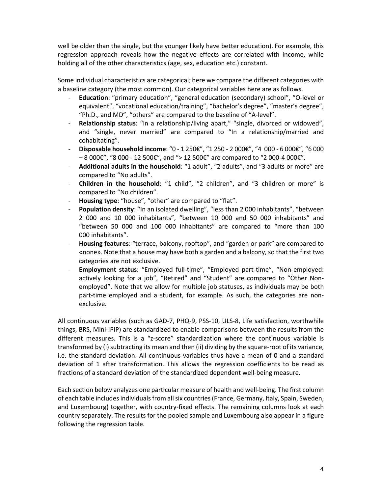well be older than the single, but the younger likely have better education). For example, this regression approach reveals how the negative effects are correlated with income, while holding all of the other characteristics (age, sex, education etc.) constant.

Some individual characteristics are categorical; here we compare the different categories with a baseline category (the most common). Our categorical variables here are as follows.

- ‐ **Education**: "primary education", "general education (secondary) school", "O‐level or equivalent", "vocational education/training", "bachelor's degree", "master's degree", "Ph.D., and MD", "others" are compared to the baseline of "A‐level".
- ‐ **Relationship status**: "in a relationship/living apart," "single, divorced or widowed", and "single, never married" are compared to "In a relationship/married and cohabitating".
- ‐ **Disposable household income**: "0 ‐ 1 250€", "1 250 ‐ 2 000€", "4 000 ‐ 6 000€", "6 000  $-8000$ €", "8000 - 12 500€", and "> 12 500€" are compared to "2000-4000€".
- ‐ **Additional adults in the household**: "1 adult", "2 adults", and "3 adults or more" are compared to "No adults".
- ‐ **Children in the household**: "1 child", "2 children", and "3 children or more" is compared to "No children".
- ‐ **Housing type**: "house", "other" are compared to "flat".
- ‐ **Population density**: "In an isolated dwelling", "less than 2 000 inhabitants", "between 2 000 and 10 000 inhabitants", "between 10 000 and 50 000 inhabitants" and "between 50 000 and 100 000 inhabitants" are compared to "more than 100 000 inhabitants".
- ‐ **Housing features**: "terrace, balcony, rooftop", and "garden or park" are compared to «none». Note that a house may have both a garden and a balcony, so that the first two categories are not exclusive.
- ‐ **Employment status**: "Employed full‐time", "Employed part‐time", "Non‐employed: actively looking for a job", "Retired" and "Student" are compared to "Other Non‐ employed". Note that we allow for multiple job statuses, as individuals may be both part-time employed and a student, for example. As such, the categories are nonexclusive.

All continuous variables (such as GAD‐7, PHQ‐9, PSS‐10, ULS‐8, Life satisfaction, worthwhile things, BRS, Mini‐IPIP) are standardized to enable comparisons between the results from the different measures. This is a "z‐score" standardization where the continuous variable is transformed by (i) subtracting its mean and then (ii) dividing by the square-root of its variance, i.e. the standard deviation. All continuous variables thus have a mean of 0 and a standard deviation of 1 after transformation. This allows the regression coefficients to be read as fractions of a standard deviation of the standardized dependent well‐being measure.

Each section below analyzes one particular measure of health and well‐being. The first column of each table includes individuals from all six countries (France, Germany, Italy, Spain, Sweden, and Luxembourg) together, with country‐fixed effects. The remaining columns look at each country separately. The results for the pooled sample and Luxembourg also appear in a figure following the regression table.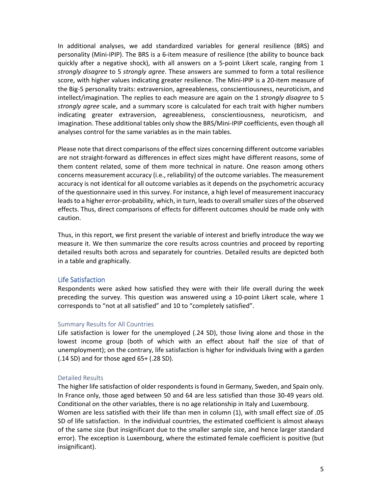In additional analyses, we add standardized variables for general resilience (BRS) and personality (Mini‐IPIP). The BRS is a 6‐item measure of resilience (the ability to bounce back quickly after a negative shock), with all answers on a 5‐point Likert scale, ranging from 1 *strongly disagree* to 5 *strongly agree*. These answers are summed to form a total resilience score, with higher values indicating greater resilience. The Mini-IPIP is a 20-item measure of the Big‐5 personality traits: extraversion, agreeableness, conscientiousness, neuroticism, and intellect/imagination. The replies to each measure are again on the 1 *strongly disagree* to 5 *strongly agree* scale, and a summary score is calculated for each trait with higher numbers indicating greater extraversion, agreeableness, conscientiousness, neuroticism, and imagination. These additional tables only show the BRS/Mini‐IPIP coefficients, even though all analyses control for the same variables as in the main tables.

Please note that direct comparisons of the effect sizes concerning different outcome variables are not straight-forward as differences in effect sizes might have different reasons, some of them content related, some of them more technical in nature. One reason among others concerns measurement accuracy (i.e., reliability) of the outcome variables. The measurement accuracy is not identical for all outcome variables as it depends on the psychometric accuracy of the questionnaire used in this survey. For instance, a high level of measurement inaccuracy leads to a higher error-probability, which, in turn, leads to overall smaller sizes of the observed effects. Thus, direct comparisons of effects for different outcomes should be made only with caution.

Thus, in this report, we first present the variable of interest and briefly introduce the way we measure it. We then summarize the core results across countries and proceed by reporting detailed results both across and separately for countries. Detailed results are depicted both in a table and graphically.

# Life Satisfaction

Respondents were asked how satisfied they were with their life overall during the week preceding the survey. This question was answered using a 10‐point Likert scale, where 1 corresponds to "not at all satisfied" and 10 to "completely satisfied".

# Summary Results for All Countries

Life satisfaction is lower for the unemployed (.24 SD), those living alone and those in the lowest income group (both of which with an effect about half the size of that of unemployment); on the contrary, life satisfaction is higher for individuals living with a garden (.14 SD) and for those aged 65+ (.28 SD).

# Detailed Results

The higher life satisfaction of older respondents is found in Germany, Sweden, and Spain only. In France only, those aged between 50 and 64 are less satisfied than those 30‐49 years old. Conditional on the other variables, there is no age relationship in Italy and Luxembourg.

Women are less satisfied with their life than men in column (1), with small effect size of .05 SD of life satisfaction. In the individual countries, the estimated coefficient is almost always of the same size (but insignificant due to the smaller sample size, and hence larger standard error). The exception is Luxembourg, where the estimated female coefficient is positive (but insignificant).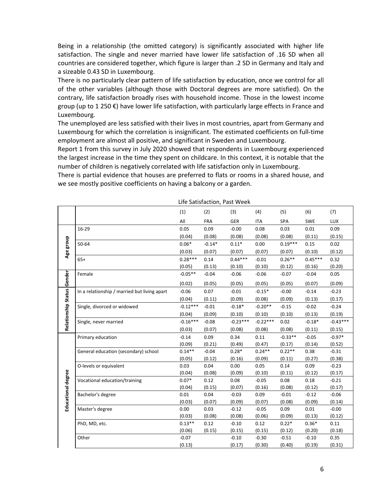Being in a relationship (the omitted category) is significantly associated with higher life satisfaction. The single and never married have lower life satisfaction of .16 SD when all countries are considered together, which figure is larger than .2 SD in Germany and Italy and a sizeable 0.43 SD in Luxembourg.

There is no particularly clear pattern of life satisfaction by education, once we control for all of the other variables (although those with Doctoral degrees are more satisfied). On the contrary, life satisfaction broadly rises with household income. Those in the lowest income group (up to 1 250 €) have lower life satisfaction, with particularly large effects in France and Luxembourg.

The unemployed are less satisfied with their lives in most countries, apart from Germany and Luxembourg for which the correlation is insignificant. The estimated coefficients on full‐time employment are almost all positive, and significant in Sweden and Luxembourg.

Report 1 from this survey in July 2020 showed that respondents in Luxembourg experienced the largest increase in the time they spent on childcare. In this context, it is notable that the number of children is negatively correlated with life satisfaction only in Luxembourg.

There is partial evidence that houses are preferred to flats or rooms in a shared house, and we see mostly positive coefficients on having a balcony or a garden.

|                     |                                              |                | LIIE JALISIALLIUII, FASL VVEEN |                   |                   |                |                |                   |
|---------------------|----------------------------------------------|----------------|--------------------------------|-------------------|-------------------|----------------|----------------|-------------------|
|                     |                                              | (1)            | (2)                            | (3)               | (4)               | (5)            | (6)            | (7)               |
|                     |                                              | All            | <b>FRA</b>                     | <b>GER</b>        | <b>ITA</b>        | SPA            | <b>SWE</b>     | <b>LUX</b>        |
|                     | 16-29                                        | 0.05           | 0.09                           | $-0.00$           | 0.08              | 0.03           | 0.01           | 0.09              |
|                     |                                              | (0.04)         | (0.08)                         | (0.08)            | (0.08)            | (0.08)         | (0.11)         | (0.15)            |
| Age group           | 50-64                                        | $0.06*$        | $-0.14*$                       | $0.11*$           | 0.00              | $0.19***$      | 0.15           | 0.02              |
|                     |                                              | (0.03)         | (0.07)                         | (0.07)            | (0.07)            | (0.07)         | (0.10)         | (0.12)            |
|                     | $65+$                                        | $0.28***$      | 0.14                           | $0.44***$         | $-0.01$           | $0.26**$       | $0.45***$      | 0.32              |
|                     |                                              | (0.05)         | (0.13)                         | (0.10)            | (0.10)            | (0.12)         | (0.16)         | (0.20)            |
| Gender              | Female                                       | $-0.05**$      | $-0.04$                        | $-0.06$           | $-0.06$           | $-0.07$        | $-0.04$        | 0.05              |
|                     |                                              | (0.02)         | (0.05)                         | (0.05)            | (0.05)            | (0.05)         | (0.07)         | (0.09)            |
|                     | In a relationship / married but living apart | $-0.06$        | 0.07                           | $-0.01$           | $-0.15*$          | $-0.00$        | $-0.14$        | $-0.23$           |
|                     |                                              | (0.04)         | (0.11)                         | (0.09)            | (0.08)            | (0.09)         | (0.13)         | (0.17)            |
| Relationship Status | Single, divorced or widowed                  | $-0.12***$     | $-0.01$                        | $-0.18*$          | $-0.20**$         | $-0.15$        | $-0.02$        | $-0.24$           |
|                     |                                              | (0.04)         | (0.09)                         | (0.10)            | (0.10)            | (0.10)         | (0.13)         | (0.19)            |
|                     | Single, never married                        | $-0.16***$     | $-0.08$                        | $-0.23***$        | $-0.22***$        | 0.02           | $-0.18*$       | $-0.43***$        |
|                     |                                              | (0.03)         | (0.07)                         | (0.08)            | (0.08)            | (0.08)         | (0.11)         | (0.15)            |
|                     | Primary education                            | $-0.14$        | 0.09                           | 0.34              | 0.11              | $-0.33**$      | $-0.05$        | $-0.97*$          |
|                     |                                              | (0.09)         | (0.21)                         | (0.49)            | (0.47)            | (0.17)         | (0.14)         | (0.52)            |
|                     | General education (secondary) school         | $0.14**$       | $-0.04$                        | $0.28*$           | $0.24**$          | $0.22**$       | 0.38           | $-0.31$           |
|                     |                                              | (0.05)         | (0.12)                         | (0.16)            | (0.09)            | (0.11)         | (0.27)         | (0.38)            |
|                     | O-levels or equivalent                       | 0.03           | 0.04                           | 0.00              | 0.05              | 0.14           | 0.09           | $-0.23$           |
|                     |                                              | (0.04)         | (0.08)                         | (0.09)            | (0.10)            | (0.11)         | (0.12)         | (0.17)            |
|                     | Vocational education/training                | $0.07*$        | 0.12                           | 0.08              | $-0.05$           | 0.08           | 0.18           | $-0.21$           |
|                     |                                              | (0.04)         | (0.15)                         | (0.07)            | (0.16)            | (0.08)         | (0.12)         | (0.17)            |
|                     | Bachelor's degree                            | 0.01           | 0.04                           | $-0.03$           | 0.09              | $-0.01$        | $-0.12$        | $-0.06$           |
| Educational degree  | Master's degree                              | (0.03)<br>0.00 | (0.07)<br>0.03                 | (0.09)<br>$-0.12$ | (0.07)<br>$-0.05$ | (0.08)<br>0.09 | (0.09)<br>0.01 | (0.14)<br>$-0.00$ |
|                     |                                              | (0.03)         | (0.08)                         | (0.08)            | (0.06)            | (0.09)         | (0.13)         | (0.12)            |
|                     | PhD, MD, etc.                                | $0.13**$       | 0.12                           | $-0.10$           | 0.12              | $0.22*$        | $0.36*$        | 0.11              |
|                     |                                              | (0.06)         | (0.15)                         | (0.15)            | (0.15)            | (0.12)         | (0.20)         | (0.18)            |
|                     | Other                                        | $-0.07$        |                                | $-0.10$           | $-0.30$           | $-0.51$        | $-0.10$        | 0.35              |
|                     |                                              | (0.13)         |                                | (0.17)            | (0.30)            | (0.40)         | (0.19)         | (0.31)            |
|                     |                                              |                |                                |                   |                   |                |                |                   |

Life Satisfaction, Past Week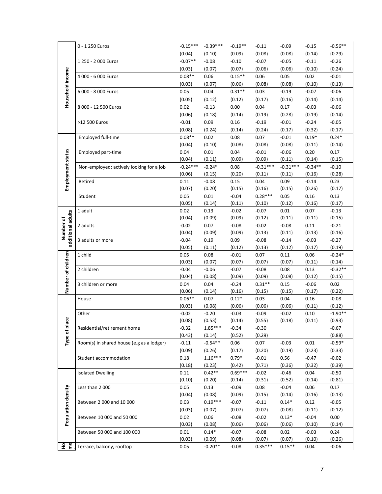|                                | 0 - 1 250 Euros                           | $-0.15***$     | $-0.39***$     | $-0.19**$         | $-0.11$             | $-0.09$              | $-0.15$             | $-0.56**$         |
|--------------------------------|-------------------------------------------|----------------|----------------|-------------------|---------------------|----------------------|---------------------|-------------------|
|                                |                                           | (0.04)         | (0.10)         | (0.09)            | (0.08)              | (0.08)               | (0.14)              | (0.29)            |
|                                | 1 250 - 2 000 Euros                       | $-0.07**$      | $-0.08$        | $-0.10$           | $-0.07$             | $-0.05$              | $-0.11$             | $-0.26$           |
|                                |                                           | (0.03)         | (0.07)         | (0.07)            | (0.06)              | (0.06)               | (0.10)              | (0.24)            |
|                                | 4 000 - 6 000 Euros                       | $0.08**$       | 0.06           | $0.15***$         | 0.06                | 0.05                 | 0.02                | $-0.01$           |
|                                |                                           | (0.03)         | (0.07)         | (0.06)            | (0.08)              | (0.08)               | (0.10)              | (0.13)            |
|                                | 6 000 - 8 000 Euros                       | 0.05           | 0.04           | $0.31**$          | 0.03                | $-0.19$              | $-0.07$             | $-0.06$           |
|                                |                                           | (0.05)         | (0.12)         | (0.12)            | (0.17)              | (0.16)               | (0.14)              | (0.14)            |
| Household income               | 8 000 - 12 500 Euros                      | 0.02           | $-0.13$        | 0.00              | 0.04                | 0.17                 | $-0.03$             | $-0.06$           |
|                                |                                           | (0.06)         | (0.18)         | (0.14)            | (0.19)              | (0.28)               | (0.19)              | (0.14)            |
|                                | >12 500 Euros                             | $-0.01$        | 0.09           | 0.16              | $-0.19$             | $-0.01$              | $-0.24$             | $-0.05$           |
|                                |                                           | (0.08)         | (0.24)         |                   | (0.24)              | (0.17)               |                     |                   |
|                                |                                           | $0.08**$       |                | (0.14)            |                     |                      | (0.32)<br>$0.19*$   | (0.17)<br>$0.24*$ |
|                                | <b>Employed full-time</b>                 |                | 0.02           | 0.08<br>(0.08)    | 0.07                | $-0.01$              |                     |                   |
|                                |                                           | (0.04)         | (0.10)         |                   | (0.08)              | (0.08)               | (0.11)              | (0.14)            |
|                                | Employed part-time                        | 0.04<br>(0.04) | 0.01           | 0.04              | $-0.01$<br>(0.09)   | $-0.06$              | 0.20                | 0.17              |
|                                |                                           | $-0.24***$     | (0.11)         | (0.09)            | $-0.31***$          | (0.11)<br>$-0.31***$ | (0.14)<br>$-0.34**$ | (0.15)            |
|                                | Non-employed: actively looking for a job  |                | $-0.24*$       | 0.08              |                     |                      |                     | $-0.10$           |
| Employment status              |                                           | (0.06)         | (0.15)         | (0.20)            | (0.11)              | (0.11)               | (0.16)              | (0.28)            |
|                                | Retired                                   | 0.11<br>(0.07) | $-0.08$        | 0.15              | 0.04                | 0.09                 | $-0.14$             | 0.23              |
|                                |                                           | 0.05           | (0.20)<br>0.01 | (0.15)<br>$-0.04$ | (0.16)<br>$0.28***$ | (0.15)<br>0.05       | (0.26)<br>0.16      | (0.17)<br>0.13    |
|                                | Student                                   | (0.05)         | (0.14)         | (0.11)            | (0.10)              | (0.12)               | (0.16)              | (0.17)            |
|                                | 1 adult                                   | 0.02           | 0.13           | $-0.02$           | $-0.07$             | 0.01                 | 0.07                | $-0.13$           |
|                                |                                           | (0.04)         | (0.09)         | (0.09)            | (0.12)              | (0.11)               | (0.11)              | (0.15)            |
| additional adults<br>Number of | 2 adults                                  | $-0.02$        | 0.07           | $-0.08$           | $-0.02$             | $-0.08$              | 0.11                | $-0.21$           |
|                                |                                           | (0.04)         | (0.09)         | (0.09)            | (0.13)              | (0.11)               | (0.13)              | (0.16)            |
|                                | 3 adults or more                          | $-0.04$        | 0.19           | 0.09              | $-0.08$             | $-0.14$              | $-0.03$             | $-0.27$           |
|                                |                                           | (0.05)         | (0.11)         | (0.12)            | (0.13)              | (0.12)               | (0.17)              | (0.19)            |
|                                | 1 child                                   | 0.05           | 0.08           | $-0.01$           | 0.07                | 0.11                 | 0.06                | $-0.24*$          |
| Number of children             |                                           | (0.03)         | (0.07)         | (0.07)            | (0.07)              | (0.07)               | (0.11)              | (0.14)            |
|                                | 2 children                                | $-0.04$        | $-0.06$        | $-0.07$           | $-0.08$             | 0.08                 | 0.13                | $-0.32**$         |
|                                |                                           | (0.04)         | (0.08)         | (0.09)            | (0.09)              | (0.08)               | (0.12)              | (0.15)            |
|                                | 3 children or more                        | 0.04           | 0.04           | $-0.24$           | $0.31**$            | 0.15                 | $-0.06$             | 0.02              |
|                                |                                           | (0.06)         | (0.14)         | (0.16)            | (0.15)              | (0.15)               | (0.17)              | (0.22)            |
|                                | House                                     | $0.06**$       | 0.07           | $0.12*$           | 0.03                | 0.04                 | 0.16                | $-0.08$           |
|                                |                                           | (0.03)         | (0.08)         | (0.06)            | (0.06)              | (0.06)               | (0.11)              | (0.12)            |
|                                | Other                                     | $-0.02$        | $-0.20$        | $-0.03$           | $-0.09$             | $-0.02$              | 0.10                | $-1.90**$         |
|                                |                                           | (0.08)         | (0.53)         | (0.14)            | (0.55)              | (0.18)               | (0.11)              | (0.93)            |
| Type of place                  | Residential/retirement home               | $-0.32$        | $1.85***$      | $-0.34$           | $-0.30$             |                      |                     | $-0.67$           |
|                                |                                           | (0.43)         | (0.14)         | (0.52)            | (0.29)              |                      |                     | (0.88)            |
|                                | Room(s) in shared house (e.g as a lodger) | $-0.11$        | $-0.54**$      | 0.06              | 0.07                | $-0.03$              | 0.01                | $-0.59*$          |
|                                |                                           | (0.09)         | (0.26)         | (0.17)            | (0.20)              | (0.19)               | (0.23)              | (0.33)            |
|                                | Student accommodation                     | 0.18           | $1.16***$      | $0.79*$           | $-0.01$             | 0.56                 | $-0.47$             | $-0.02$           |
|                                |                                           | (0.18)         | (0.23)         | (0.42)            | (0.71)              | (0.36)               | (0.32)              | (0.39)            |
|                                | <b>Isolated Dwelling</b>                  | 0.11           | $0.42**$       | $0.69***$         | $-0.02$             | $-0.46$              | 0.04                | $-0.50$           |
|                                |                                           | (0.10)         | (0.20)         | (0.14)            | (0.31)              | (0.52)               | (0.14)              | (0.81)            |
|                                | Less than 2000                            | 0.05           | 0.13           | $-0.09$           | 0.08                | $-0.04$              | 0.06                | 0.17              |
| Population density             |                                           | (0.04)         | (0.08)         | (0.09)            | (0.15)              | (0.14)               | (0.16)              | (0.13)            |
|                                | Between 2 000 and 10 000                  | 0.03           | $0.19***$      | $-0.07$           | $-0.11$             | $0.14*$              | 0.12                | $-0.05$           |
|                                |                                           | (0.03)         | (0.07)         | (0.07)            | (0.07)              | (0.08)               | (0.11)              | (0.12)            |
|                                | Between 10 000 and 50 000                 | 0.02           | 0.06           | $-0.08$           | $-0.02$             | $0.13*$              | $-0.04$             | 0.00              |
|                                |                                           | (0.03)         | (0.08)         | (0.06)            | (0.06)              | (0.06)               | (0.10)              | (0.14)            |
|                                | Between 50 000 and 100 000                | 0.01           | $0.14*$        | $-0.07$           | $-0.08$             | 0.02                 | $-0.03$             | 0.24              |
|                                |                                           | (0.03)         | (0.09)         | (0.08)            | (0.07)              | (0.07)               | (0.10)              | (0.26)            |
| Ho<br>me                       | Terrace, balcony, rooftop                 | 0.05           | $-0.20**$      | $-0.08$           | $0.35***$           | $0.15**$             | 0.04                | $-0.06$           |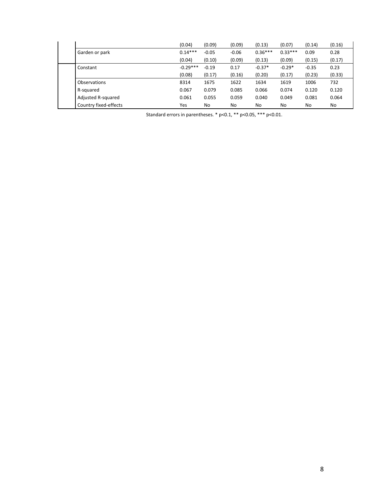|                       | (0.04)     | (0.09)  | (0.09)  | (0.13)    | (0.07)    | (0.14)  | (0.16) |
|-----------------------|------------|---------|---------|-----------|-----------|---------|--------|
| Garden or park        | $0.14***$  | $-0.05$ | $-0.06$ | $0.36***$ | $0.33***$ | 0.09    | 0.28   |
|                       | (0.04)     | (0.10)  | (0.09)  | (0.13)    | (0.09)    | (0.15)  | (0.17) |
| Constant              | $-0.29***$ | $-0.19$ | 0.17    | $-0.37*$  | $-0.29*$  | $-0.35$ | 0.23   |
|                       | (0.08)     | (0.17)  | (0.16)  | (0.20)    | (0.17)    | (0.23)  | (0.33) |
| Observations          | 8314       | 1675    | 1622    | 1634      | 1619      | 1006    | 732    |
| R-squared             | 0.067      | 0.079   | 0.085   | 0.066     | 0.074     | 0.120   | 0.120  |
| Adjusted R-squared    | 0.061      | 0.055   | 0.059   | 0.040     | 0.049     | 0.081   | 0.064  |
| Country fixed-effects | Yes        | No      | No      | No        | No        | No      | No     |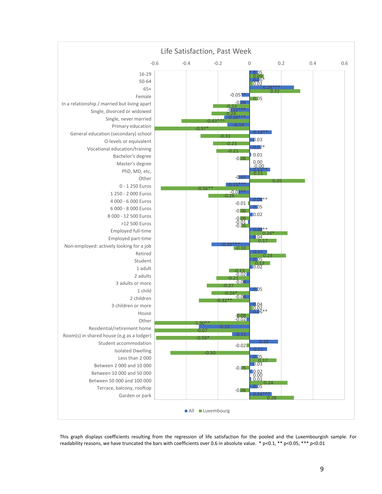

This graph displays coefficients resulting from the regression of life satisfaction for the pooled and the Luxembourgish sample. For readability reasons, we have truncated the bars with coefficients over 0.6 in absolute value.  $*$  p<0.1,  $**$  p<0.05,  $***$  p<0.01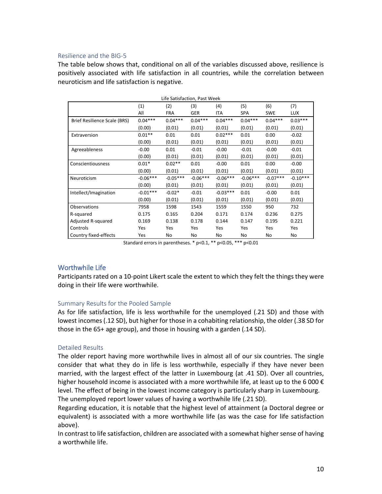#### Resilience and the BIG‐5

The table below shows that, conditional on all of the variables discussed above, resilience is positively associated with life satisfaction in all countries, while the correlation between neuroticism and life satisfaction is negative.

| Life Satisfaction, Past Week |            |            |            |            |            |            |            |  |  |
|------------------------------|------------|------------|------------|------------|------------|------------|------------|--|--|
|                              | (1)        | (2)        | (3)        | (4)        | (5)        | (6)        | (7)        |  |  |
|                              | All        | <b>FRA</b> | <b>GER</b> | <b>ITA</b> | <b>SPA</b> | <b>SWE</b> | <b>LUX</b> |  |  |
| Brief Resilience Scale (BRS) | $0.04***$  | $0.04***$  | $0.04***$  | $0.04***$  | $0.04***$  | $0.04***$  | $0.03***$  |  |  |
|                              | (0.00)     | (0.01)     | (0.01)     | (0.01)     | (0.01)     | (0.01)     | (0.01)     |  |  |
| Extraversion                 | $0.01**$   | 0.01       | 0.01       | $0.02***$  | 0.01       | 0.00       | $-0.02$    |  |  |
|                              | (0.00)     | (0.01)     | (0.01)     | (0.01)     | (0.01)     | (0.01)     | (0.01)     |  |  |
| Agreeableness                | $-0.00$    | 0.01       | $-0.01$    | $-0.00$    | $-0.01$    | $-0.00$    | $-0.01$    |  |  |
|                              | (0.00)     | (0.01)     | (0.01)     | (0.01)     | (0.01)     | (0.01)     | (0.01)     |  |  |
| Conscientiousness            | $0.01*$    | $0.02**$   | 0.01       | $-0.00$    | 0.01       | 0.00       | $-0.00$    |  |  |
|                              | (0.00)     | (0.01)     | (0.01)     | (0.01)     | (0.01)     | (0.01)     | (0.01)     |  |  |
| Neuroticism                  | $-0.06***$ | $-0.05***$ | $-0.06***$ | $-0.06***$ | $-0.06***$ | $-0.07***$ | $-0.10***$ |  |  |
|                              | (0.00)     | (0.01)     | (0.01)     | (0.01)     | (0.01)     | (0.01)     | (0.01)     |  |  |
| Intellect/Imagination        | $-0.01***$ | $-0.02*$   | $-0.01$    | $-0.03***$ | 0.01       | $-0.00$    | 0.01       |  |  |
|                              | (0.00)     | (0.01)     | (0.01)     | (0.01)     | (0.01)     | (0.01)     | (0.01)     |  |  |
| Observations                 | 7958       | 1598       | 1543       | 1559       | 1550       | 950        | 732        |  |  |
| R-squared                    | 0.175      | 0.165      | 0.204      | 0.171      | 0.174      | 0.236      | 0.275      |  |  |
| Adjusted R-squared           | 0.169      | 0.138      | 0.178      | 0.144      | 0.147      | 0.195      | 0.221      |  |  |
| Controls                     | Yes        | Yes        | Yes        | Yes        | Yes        | Yes        | Yes        |  |  |
| Country fixed-effects        | Yes        | No         | No         | No         | No         | No         | No         |  |  |

Standard errors in parentheses. \* p<0.1, \*\* p<0.05, \*\*\* p<0.01

# Worthwhile Life

Participants rated on a 10‐point Likert scale the extent to which they felt the things they were doing in their life were worthwhile.

# Summary Results for the Pooled Sample

As for life satisfaction, life is less worthwhile for the unemployed (.21 SD) and those with lowest incomes (.12 SD), but higher for those in a cohabiting relationship, the older (.38 SD for those in the 65+ age group), and those in housing with a garden (.14 SD).

# Detailed Results

The older report having more worthwhile lives in almost all of our six countries. The single consider that what they do in life is less worthwhile, especially if they have never been married, with the largest effect of the latter in Luxembourg (at .41 SD). Over all countries, higher household income is associated with a more worthwhile life, at least up to the 6 000  $\epsilon$ level. The effect of being in the lowest income category is particularly sharp in Luxembourg. The unemployed report lower values of having a worthwhile life (.21 SD).

Regarding education, it is notable that the highest level of attainment (a Doctoral degree or equivalent) is associated with a more worthwhile life (as was the case for life satisfaction above).

In contrast to life satisfaction, children are associated with a somewhat higher sense of having a worthwhile life.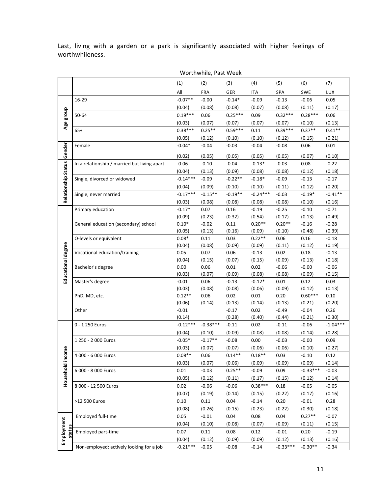Last, living with a garden or a park is significantly associated with higher feelings of worthwhileness.

|                     |                                              | Worthwhile, Past Week |                |                |                |                   |                   |                   |
|---------------------|----------------------------------------------|-----------------------|----------------|----------------|----------------|-------------------|-------------------|-------------------|
|                     |                                              | (1)                   | (2)            | (3)            | (4)            | (5)               | (6)               | (7)               |
|                     |                                              | All                   | <b>FRA</b>     | GER            | <b>ITA</b>     | SPA               | SWE               | LUX               |
|                     | 16-29                                        | $-0.07**$             | $-0.00$        | $-0.14*$       | $-0.09$        | $-0.13$           | $-0.06$           | 0.05              |
|                     |                                              | (0.04)                | (0.08)         | (0.08)         | (0.07)         | (0.08)            | (0.11)            | (0.17)            |
| Age group           | 50-64                                        | $0.19***$             | 0.06           | $0.25***$      | 0.09           | $0.32***$         | $0.28***$         | 0.06              |
|                     |                                              | (0.03)                | (0.07)         | (0.07)         | (0.07)         | (0.07)            | (0.10)            | (0.13)            |
|                     | $65+$                                        | $0.38***$             | $0.25**$       | $0.59***$      | 0.11           | $0.39***$         | $0.37**$          | $0.41**$          |
|                     |                                              | (0.05)                | (0.12)         | (0.10)         | (0.10)         | (0.12)            | (0.15)            | (0.21)            |
|                     | Female                                       | $-0.04*$              | $-0.04$        | $-0.03$        | $-0.04$        | $-0.08$           | 0.06              | 0.01              |
| Gender              |                                              | (0.02)                | (0.05)         | (0.05)         | (0.05)         | (0.05)            | (0.07)            | (0.10)            |
|                     | In a relationship / married but living apart | $-0.06$               | $-0.10$        | $-0.04$        | $-0.13*$       | $-0.03$           | 0.08              | $-0.22$           |
|                     |                                              | (0.04)                | (0.13)         | (0.09)         | (0.08)         | (0.08)            | (0.12)            | (0.18)            |
|                     | Single, divorced or widowed                  | $-0.14***$            | $-0.09$        | $-0.22**$      | $-0.18*$       | $-0.09$           | $-0.13$           | $-0.17$           |
|                     |                                              | (0.04)                | (0.09)         | (0.10)         | (0.10)         | (0.11)            | (0.12)            | (0.20)            |
| Relationship Status | Single, never married                        | $-0.17***$            | $-0.15**$      | $-0.19**$      | $-0.24***$     | $-0.03$           | $-0.19*$          | $-0.41**$         |
|                     |                                              | (0.03)                | (0.08)         | (0.08)         | (0.08)         | (0.08)            | (0.10)            | (0.16)            |
|                     | Primary education                            | $-0.17*$              | 0.07           | 0.16           | $-0.19$        | $-0.25$           | $-0.10$           | $-0.71$           |
|                     |                                              | (0.09)                | (0.23)         | (0.32)         | (0.54)         | (0.17)            | (0.13)            | (0.49)            |
|                     | General education (secondary) school         | $0.10*$               | $-0.02$        | 0.11           | $0.20**$       | $0.20**$          | $-0.16$           | $-0.28$           |
|                     |                                              | (0.05)                | (0.13)         | (0.16)         | (0.09)         | (0.10)            | (0.48)            | (0.39)            |
|                     | O-levels or equivalent                       | $0.08*$               | 0.11           | 0.03           | $0.22**$       | 0.06              | 0.16              | $-0.18$           |
|                     |                                              | (0.04)                | (0.08)         | (0.09)         | (0.09)         | (0.11)            | (0.12)            | (0.19)            |
|                     | Vocational education/training                | 0.05                  | 0.07           | 0.06           | $-0.13$        | 0.02              | 0.18              | $-0.13$           |
|                     |                                              | (0.04)                | (0.15)         | (0.07)         | (0.15)         | (0.09)            | (0.13)            | (0.18)            |
| Educational degree  | Bachelor's degree                            | 0.00<br>(0.03)        | 0.06<br>(0.07) | 0.01<br>(0.09) | 0.02<br>(0.08) | $-0.06$<br>(0.08) | $-0.00$<br>(0.09) | $-0.06$<br>(0.15) |
|                     | Master's degree                              | $-0.01$               | 0.06           | $-0.13$        | $-0.12*$       | 0.01              | 0.12              | 0.03              |
|                     |                                              | (0.03)                | (0.08)         | (0.08)         | (0.06)         | (0.09)            | (0.12)            | (0.13)            |
|                     | PhD, MD, etc.                                | $0.12**$              | 0.06           | 0.02           | 0.01           | 0.20              | $0.60***$         | 0.10              |
|                     |                                              | (0.06)                | (0.14)         | (0.13)         | (0.14)         | (0.13)            | (0.21)            | (0.20)            |
|                     | Other                                        | $-0.01$               |                | $-0.17$        | 0.02           | $-0.49$           | $-0.04$           | 0.26              |
|                     |                                              | (0.14)                |                | (0.28)         | (0.40)         | (0.44)            | (0.21)            | (0.30)            |
|                     | 0 - 1 250 Euros                              | $-0.12***$            | $-0.38***$     | $-0.11$        | 0.02           | $-0.11$           | $-0.06$           | $-1.04***$        |
|                     |                                              | (0.04)                | (0.10)         | (0.09)         | (0.08)         | (0.08)            | (0.14)            | (0.28)            |
|                     | 1 250 - 2 000 Euros                          | $-0.05*$              | $-0.17**$      | $-0.08$        | 0.00           | $-0.03$           | $-0.00$           | 0.09              |
|                     |                                              | (0.03)                | (0.07)         | (0.07)         | (0.06)         | (0.06)            | (0.10)            | (0.27)            |
| Household income    | 4 000 - 6 000 Euros                          | $0.08**$              | 0.06           | $0.14**$       | $0.18**$       | 0.03              | $-0.10$           | 0.12              |
|                     |                                              | (0.03)                | (0.07)         | (0.06)         | (0.09)         | (0.09)            | (0.09)            | (0.14)            |
|                     | 6 000 - 8 000 Euros                          | 0.01                  | $-0.03$        | $0.25**$       | $-0.09$        | 0.09              | $-0.33***$        | $-0.03$           |
|                     |                                              | (0.05)                | (0.12)         | (0.11)         | (0.17)         | (0.15)            | (0.12)            | (0.14)            |
|                     | 8 000 - 12 500 Euros                         | 0.02                  | $-0.06$        | $-0.06$        | $0.38***$      | 0.18              | $-0.05$           | $-0.05$           |
|                     |                                              | (0.07)                | (0.19)         | (0.14)         | (0.15)         | (0.22)            | (0.17)            | (0.16)            |
|                     | >12 500 Euros                                | 0.10                  | 0.11           | 0.04           | $-0.14$        | 0.20              | $-0.01$           | 0.28              |
|                     |                                              | (0.08)                | (0.26)         | (0.15)         | (0.23)         | (0.22)            | (0.30)            | (0.18)            |
|                     | Employed full-time                           | 0.05                  | $-0.01$        | 0.04           | 0.08           | 0.04              | $0.27**$          | $-0.07$           |
| Employment          |                                              | (0.04)                | (0.10)         | (0.08)         | (0.07)         | (0.09)            | (0.11)            | (0.15)            |
| status              | Employed part-time                           | 0.07                  | 0.11           | 0.08           | 0.12           | $-0.01$           | 0.20              | $-0.19$           |
|                     |                                              | (0.04)                | (0.12)         | (0.09)         | (0.09)         | (0.12)            | (0.13)            | (0.16)            |
|                     | Non-employed: actively looking for a job     | $-0.21***$            | $-0.05$        | $-0.08$        | $-0.14$        | $-0.33***$        | $-0.30**$         | $-0.34$           |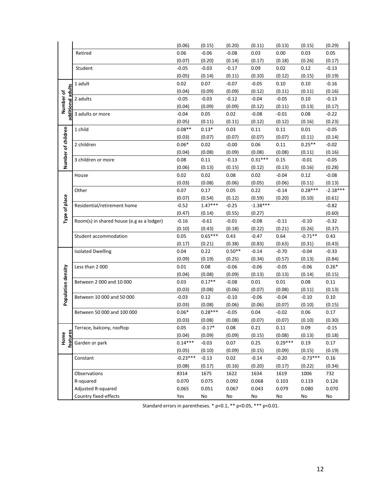|                         |                                           | (0.06)            | (0.15)              | (0.20)            | (0.11)         | (0.13)            | (0.15)              | (0.29)               |
|-------------------------|-------------------------------------------|-------------------|---------------------|-------------------|----------------|-------------------|---------------------|----------------------|
|                         | Retired                                   | 0.06              | $-0.06$             | $-0.08$           | 0.03           | 0.00              | 0.03                | 0.05                 |
|                         |                                           | (0.07)            | (0.20)              | (0.14)            | (0.17)         | (0.18)            | (0.26)              | (0.17)               |
|                         | Student                                   | $-0.05$           | $-0.03$             | $-0.17$           | 0.09           | 0.02              | 0.12                | $-0.13$              |
|                         |                                           | (0.05)            | (0.14)              | (0.11)            | (0.10)         | (0.12)            | (0.15)              | (0.19)               |
|                         | 1 adult                                   | 0.02              | 0.07                | $-0.07$           | $-0.05$        | 0.10              | 0.10                | $-0.16$              |
| adults                  |                                           | (0.04)            | (0.09)              | (0.09)            | (0.12)         | (0.11)            | (0.11)              | (0.16)               |
| Number of               | 2 adults                                  | $-0.05$           | $-0.03$             | $-0.12$           | $-0.04$        | $-0.05$           | 0.10                | $-0.13$              |
|                         |                                           | (0.04)            | (0.09)              | (0.09)            | (0.12)         | (0.11)            | (0.13)              | (0.17)               |
| additional              | 3 adults or more                          | $-0.04$           | 0.05                | 0.02              | $-0.08$        | $-0.01$           | 0.08                | $-0.22$              |
|                         |                                           | (0.05)            | (0.11)              | (0.11)            | (0.12)         | (0.12)            | (0.16)              | (0.23)               |
|                         | 1 child                                   | $0.08**$          | $0.13*$             | 0.03              | 0.11           | 0.11              | 0.01                | $-0.05$              |
| Number of children      |                                           | (0.03)            | (0.07)              | (0.07)            | (0.07)         | (0.07)            | (0.11)              | (0.14)               |
|                         | 2 children                                | $0.06*$           | 0.02                | $-0.00$           | 0.06           | 0.11              | $0.25**$            | $-0.02$              |
|                         |                                           | (0.04)            | (0.08)              | (0.09)            | (0.08)         | (0.08)            | (0.11)              | (0.16)               |
|                         | 3 children or more                        | 0.08              | 0.11                | $-0.13$           | $0.31***$      | 0.15              | $-0.01$             | $-0.05$              |
|                         |                                           | (0.06)            | (0.13)              | (0.15)            | (0.12)         | (0.13)            | (0.16)              | (0.28)               |
|                         | House                                     | 0.02              | 0.02                | 0.08              | 0.02           | $-0.04$           | 0.12                | $-0.08$              |
|                         |                                           | (0.03)            | (0.08)              | (0.06)            | (0.05)         | (0.06)            | (0.11)<br>$0.28***$ | (0.13)<br>$-2.18***$ |
|                         | Other                                     | 0.07              | 0.17                | 0.05              | 0.22<br>(0.59) | $-0.14$<br>(0.20) |                     |                      |
|                         | Residential/retirement home               | (0.07)<br>$-0.52$ | (0.54)<br>$1.47***$ | (0.12)<br>$-0.25$ | $-1.38***$     |                   | (0.10)              | (0.61)<br>$-0.82$    |
|                         |                                           | (0.47)            | (0.14)              | (0.55)            | (0.27)         |                   |                     | (0.60)               |
| Type of place           | Room(s) in shared house (e.g as a lodger) | $-0.16$           | $-0.61$             | $-0.01$           | $-0.08$        | $-0.11$           | $-0.10$             | $-0.32$              |
|                         |                                           | (0.10)            | (0.43)              | (0.18)            | (0.22)         | (0.21)            | (0.26)              | (0.37)               |
|                         | Student accommodation                     | 0.05              | $0.65***$           | 0.43              | $-0.47$        | 0.64              | $-0.71**$           | 0.43                 |
|                         |                                           | (0.17)            | (0.21)              | (0.38)            | (0.83)         | (0.63)            | (0.31)              | (0.43)               |
|                         | <b>Isolated Dwelling</b>                  | 0.04              | 0.22                | $0.50**$          | $-0.14$        | $-0.70$           | $-0.04$             | $-0.33$              |
|                         |                                           | (0.09)            | (0.19)              | (0.25)            | (0.34)         | (0.57)            | (0.13)              | (0.84)               |
|                         | Less than 2 000                           | 0.01              | 0.08                | $-0.06$           | $-0.06$        | $-0.05$           | $-0.06$             | $0.26*$              |
|                         |                                           | (0.04)            | (0.08)              | (0.09)            | (0.13)         | (0.13)            | (0.14)              | (0.15)               |
| Population density      | Between 2 000 and 10 000                  | 0.03              | $0.17**$            | $-0.08$           | 0.01           | 0.01              | 0.08                | 0.11                 |
|                         |                                           | (0.03)            | (0.08)              | (0.06)            | (0.07)         | (0.08)            | (0.11)              | (0.13)               |
|                         | Between 10 000 and 50 000                 | $-0.03$           | 0.12                | $-0.10$           | $-0.06$        | $-0.04$           | $-0.10$             | 0.10                 |
|                         |                                           | (0.03)            | (0.08)              | (0.06)            | (0.06)         | (0.07)            | (0.10)              | (0.15)               |
|                         | Between 50 000 and 100 000                | $0.06*$           | $0.28***$           | $-0.05$           | 0.04           | $-0.02$           | 0.06                | 0.17                 |
|                         |                                           | (0.03)            | (0.08)              | (0.08)            | (0.07)         | (0.07)            | (0.10)              | (0.30)               |
|                         | Terrace, balcony, rooftop                 | 0.05              | $-0.17*$            | 0.08              | 0.21           | 0.11              | 0.09                | $-0.15$              |
| <b>features</b><br>Home |                                           | (0.04)            | (0.09)              | (0.09)            | (0.15)         | (0.08)            | (0.13)              | (0.18)               |
|                         | Garden or park                            | $0.14***$         | $-0.03$             | 0.07              | 0.25           | $0.29***$         | 0.19                | 0.17                 |
|                         |                                           | (0.05)            | (0.10)              | (0.09)            | (0.15)         | (0.09)            | (0.15)              | (0.19)               |
|                         | Constant                                  | $-0.23***$        | $-0.13$             | 0.02              | $-0.14$        | $-0.20$           | $-0.73***$          | 0.16                 |
|                         |                                           | (0.08)            | (0.17)              | (0.16)            | (0.20)         | (0.17)            | (0.22)              | (0.34)               |
|                         | Observations                              | 8314              | 1675                | 1622              | 1634           | 1619              | 1006                | 732                  |
|                         | R-squared                                 | 0.070             | 0.075               | 0.092             | 0.068          | 0.103             | 0.119               | 0.126                |
|                         | Adjusted R-squared                        | 0.065             | 0.051               | 0.067             | 0.043          | 0.079             | 0.080               | 0.070                |
|                         | Country fixed-effects                     | Yes               | No                  | No                | No             | No                | No                  | No                   |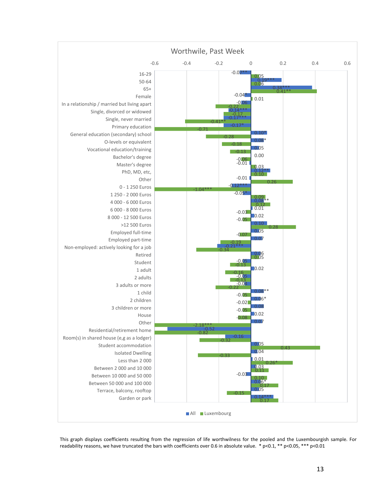

This graph displays coefficients resulting from the regression of life worthwilness for the pooled and the Luxembourgish sample. For readability reasons, we have truncated the bars with coefficients over 0.6 in absolute value. \* p<0.1, \*\* p<0.05, \*\*\* p<0.01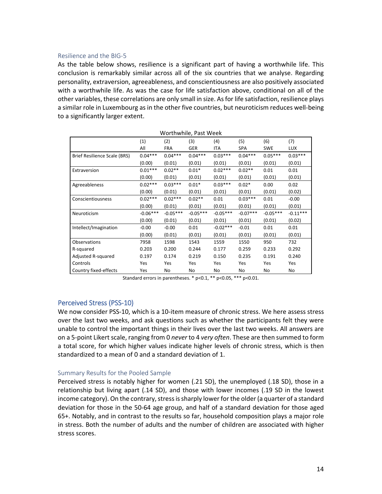#### Resilience and the BIG‐5

As the table below shows, resilience is a significant part of having a worthwhile life. This conclusion is remarkably similar across all of the six countries that we analyse. Regarding personality, extraversion, agreeableness, and conscientiousness are also positively associated with a worthwhile life. As was the case for life satisfaction above, conditional on all of the other variables, these correlations are only small in size. Asfor life satisfaction, resilience plays a similar role in Luxembourg as in the other five countries, but neuroticism reduces well-being to a significantly larger extent.

|                              | Worthwhile, Past Week |            |            |            |            |            |            |  |  |  |  |  |
|------------------------------|-----------------------|------------|------------|------------|------------|------------|------------|--|--|--|--|--|
|                              | (1)                   | (2)        | (3)        | (4)        | (5)        | (6)        | (7)        |  |  |  |  |  |
|                              | All                   | <b>FRA</b> | GER        | <b>ITA</b> | SPA        | <b>SWE</b> | <b>LUX</b> |  |  |  |  |  |
| Brief Resilience Scale (BRS) | $0.04***$             | $0.04***$  | $0.04***$  | $0.03***$  | $0.04***$  | $0.05***$  | $0.03***$  |  |  |  |  |  |
|                              | (0.00)                | (0.01)     | (0.01)     | (0.01)     | (0.01)     | (0.01)     | (0.01)     |  |  |  |  |  |
| Extraversion                 | $0.01***$             | $0.02**$   | $0.01*$    | $0.02***$  | $0.02**$   | 0.01       | 0.01       |  |  |  |  |  |
|                              | (0.00)                | (0.01)     | (0.01)     | (0.01)     | (0.01)     | (0.01)     | (0.01)     |  |  |  |  |  |
| Agreeableness                | $0.02***$             | $0.03***$  | $0.01*$    | $0.03***$  | $0.02*$    | 0.00       | 0.02       |  |  |  |  |  |
|                              | (0.00)                | (0.01)     | (0.01)     | (0.01)     | (0.01)     | (0.01)     | (0.02)     |  |  |  |  |  |
| Conscientiousness            | $0.02***$             | $0.02***$  | $0.02**$   | 0.01       | $0.03***$  | 0.01       | $-0.00$    |  |  |  |  |  |
|                              | (0.00)                | (0.01)     | (0.01)     | (0.01)     | (0.01)     | (0.01)     | (0.01)     |  |  |  |  |  |
| Neuroticism                  | $-0.06***$            | $-0.05***$ | $-0.05***$ | $-0.05***$ | $-0.07***$ | $-0.05***$ | $-0.11***$ |  |  |  |  |  |
|                              | (0.00)                | (0.01)     | (0.01)     | (0.01)     | (0.01)     | (0.01)     | (0.02)     |  |  |  |  |  |
| Intellect/Imagination        | $-0.00$               | $-0.00$    | 0.01       | $-0.02***$ | $-0.01$    | 0.01       | 0.01       |  |  |  |  |  |
|                              | (0.00)                | (0.01)     | (0.01)     | (0.01)     | (0.01)     | (0.01)     | (0.01)     |  |  |  |  |  |
| Observations                 | 7958                  | 1598       | 1543       | 1559       | 1550       | 950        | 732        |  |  |  |  |  |
| R-squared                    | 0.203                 | 0.200      | 0.244      | 0.177      | 0.259      | 0.233      | 0.292      |  |  |  |  |  |
| Adjusted R-squared           | 0.197                 | 0.174      | 0.219      | 0.150      | 0.235      | 0.191      | 0.240      |  |  |  |  |  |
| Controls                     | Yes                   | Yes        | Yes        | Yes        | Yes        | Yes        | Yes        |  |  |  |  |  |
| Country fixed-effects        | Yes                   | No         | No         | No         | No         | No         | No         |  |  |  |  |  |

Standard errors in parentheses. \* p<0.1, \*\* p<0.05, \*\*\* p<0.01.

# Perceived Stress (PSS‐10)

We now consider PSS-10, which is a 10-item measure of chronic stress. We here assess stress over the last two weeks, and ask questions such as whether the participants felt they were unable to control the important things in their lives over the last two weeks. All answers are on a 5‐point Likert scale, ranging from 0 *never* to 4 *very often*. These are then summed to form a total score, for which higher values indicate higher levels of chronic stress, which is then standardized to a mean of 0 and a standard deviation of 1.

# Summary Results for the Pooled Sample

Perceived stress is notably higher for women (.21 SD), the unemployed (.18 SD), those in a relationship but living apart (.14 SD), and those with lower incomes (.19 SD in the lowest income category). On the contrary, stress is sharply lower for the older (a quarter of a standard deviation for those in the 50‐64 age group, and half of a standard deviation for those aged 65+. Notably, and in contrast to the results so far, household composition plays a major role in stress. Both the number of adults and the number of children are associated with higher stress scores.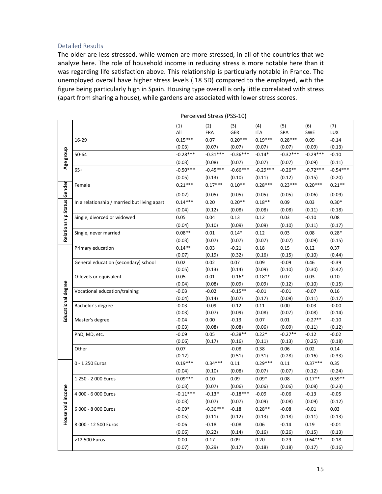#### Detailed Results

The older are less stressed, while women are more stressed, in all of the countries that we analyze here. The role of household income in reducing stress is more notable here than it was regarding life satisfaction above. This relationship is particularly notable in France. The unemployed overall have higher stress levels (.18 SD) compared to the employed, with the figure being particularly high in Spain. Housing type overall is only little correlated with stress (apart from sharing a house), while gardens are associated with lower stress scores.

|                            | Perceived Stress (PSS-10)                    |                   |                |                     |                   |                     |                   |                   |
|----------------------------|----------------------------------------------|-------------------|----------------|---------------------|-------------------|---------------------|-------------------|-------------------|
|                            |                                              | (1)               | (2)            | (3)                 | (4)               | (5)                 | (6)               | (7)               |
|                            |                                              | All               | <b>FRA</b>     | GER                 | <b>ITA</b>        | SPA                 | SWE               | <b>LUX</b>        |
|                            | 16-29                                        | $0.15***$         | 0.07           | $0.20***$           | $0.19***$         | $0.28***$           | 0.09              | $-0.14$           |
|                            |                                              | (0.03)            | (0.07)         | (0.07)              | (0.07)            | (0.07)              | (0.09)            | (0.13)            |
| Age group                  | 50-64                                        | $-0.28***$        | $-0.31***$     | $-0.36***$          | $-0.14*$          | $-0.32***$          | $-0.29***$        | $-0.10$           |
|                            |                                              | (0.03)            | (0.08)         | (0.07)              | (0.07)            | (0.07)              | (0.09)            | (0.11)            |
|                            | $65+$                                        | $-0.50***$        | $-0.45***$     | $-0.66***$          | $-0.29***$        | $-0.26**$           | $-0.72***$        | $-0.54***$        |
|                            |                                              | (0.05)            | (0.13)         | (0.10)              | (0.11)            | (0.12)              | (0.15)            | (0.20)            |
|                            | Female                                       | $0.21***$         | $0.17***$      | $0.10**$            | $0.28***$         | $0.23***$           | $0.20***$         | $0.21**$          |
| Relationship Status Gender |                                              | (0.02)            | (0.05)         | (0.05)              | (0.05)            | (0.05)              | (0.06)            | (0.09)            |
|                            | In a relationship / married but living apart | $0.14***$         | 0.20           | $0.20**$            | $0.18**$          | 0.09                | 0.03              | $0.30*$           |
|                            |                                              | (0.04)            | (0.12)         | (0.08)              | (0.08)            | (0.08)              | (0.11)            | (0.18)            |
|                            | Single, divorced or widowed                  | 0.05              | 0.04           | 0.13                | 0.12              | 0.03                | $-0.10$           | 0.08              |
|                            |                                              | (0.04)            | (0.10)         | (0.09)              | (0.09)            | (0.10)              | (0.11)            | (0.17)            |
|                            | Single, never married                        | $0.08**$          | 0.01           | $0.14*$             | 0.12              | 0.03                | 0.08              | $0.28*$           |
|                            |                                              | (0.03)            | (0.07)         | (0.07)              | (0.07)            | (0.07)              | (0.09)            | (0.15)            |
|                            | Primary education                            | $0.14**$          | 0.03           | $-0.21$             | 0.18              | 0.15                | 0.12              | 0.37              |
|                            |                                              | (0.07)            | (0.19)         | (0.32)              | (0.16)            | (0.15)              | (0.10)            | (0.44)            |
|                            | General education (secondary) school         | 0.02              | 0.02           | 0.07                | 0.09              | $-0.09$             | 0.46              | $-0.39$           |
|                            |                                              | (0.05)            | (0.13)         | (0.14)              | (0.09)            | (0.10)              | (0.30)            | (0.42)            |
|                            | O-levels or equivalent                       | 0.05              | 0.01           | $-0.16*$            | $0.18**$          | 0.07                | 0.03              | 0.10              |
| Educational degree         |                                              | (0.04)            | (0.08)         | (0.09)              | (0.09)            | (0.12)              | (0.10)            | (0.15)            |
|                            | Vocational education/training                | $-0.03$           | $-0.02$        | $-0.15**$           | $-0.01$           | $-0.01$             | $-0.07$           | 0.16              |
|                            |                                              | (0.04)            | (0.14)         | (0.07)              | (0.17)            | (0.08)              | (0.11)            | (0.17)            |
|                            | Bachelor's degree                            | $-0.03$           | $-0.09$        | $-0.12$             | 0.11              | 0.00                | $-0.03$           | $-0.00$           |
|                            |                                              | (0.03)            | (0.07)         | (0.09)              | (0.08)            | (0.07)              | (0.08)            | (0.14)            |
|                            | Master's degree                              | $-0.04$           | 0.00           | $-0.13$             | 0.07              | 0.01                | $-0.27**$         | $-0.10$           |
|                            |                                              | (0.03)            | (0.08)         | (0.08)              | (0.06)            | (0.09)<br>$-0.27**$ | (0.11)            | (0.12)            |
|                            | PhD, MD, etc.                                | $-0.09$<br>(0.06) | 0.05<br>(0.17) | $-0.38**$<br>(0.16) | $0.22*$<br>(0.11) | (0.13)              | $-0.12$<br>(0.25) | $-0.02$<br>(0.18) |
|                            | Other                                        | 0.07              |                | $-0.08$             | 0.38              | 0.06                | 0.02              | 0.14              |
|                            |                                              | (0.12)            |                | (0.51)              | (0.31)            | (0.28)              | (0.16)            | (0.33)            |
|                            | 0 - 1 250 Euros                              | $0.19***$         | $0.34***$      | 0.11                | $0.29***$         | 0.11                | $0.37***$         | 0.35              |
|                            |                                              | (0.04)            | (0.10)         | (0.08)              | (0.07)            | (0.07)              | (0.12)            | (0.24)            |
|                            | 1 250 - 2 000 Euros                          | $0.09***$         | 0.10           | 0.09                | $0.09*$           | 0.08                | $0.17**$          | $0.59**$          |
|                            |                                              | (0.03)            | (0.07)         | (0.06)              | (0.06)            | (0.06)              | (0.08)            | (0.23)            |
| Household income           | 4 000 - 6 000 Euros                          | $-0.11***$        | $-0.13*$       | $-0.18***$          | $-0.09$           | $-0.06$             | $-0.13$           | $-0.05$           |
|                            |                                              | (0.03)            | (0.07)         | (0.07)              | (0.09)            | (0.08)              | (0.09)            | (0.12)            |
|                            | 6 000 - 8 000 Euros                          | $-0.09*$          | $-0.36***$     | $-0.18$             | $0.28**$          | $-0.08$             | $-0.01$           | 0.03              |
|                            |                                              | (0.05)            | (0.11)         | (0.12)              | (0.13)            | (0.18)              | (0.11)            | (0.13)            |
|                            | 8 000 - 12 500 Euros                         | $-0.06$           | $-0.18$        | $-0.08$             | 0.06              | $-0.14$             | 0.19              | $-0.01$           |
|                            |                                              | (0.06)            | (0.22)         | (0.14)              | (0.16)            | (0.26)              | (0.15)            | (0.13)            |
|                            | >12 500 Euros                                | $-0.00$           | 0.17           | 0.09                | 0.20              | $-0.29$             | $0.64***$         | $-0.18$           |
|                            |                                              | (0.07)            | (0.29)         | (0.17)              | (0.18)            | (0.18)              | (0.17)            | (0.16)            |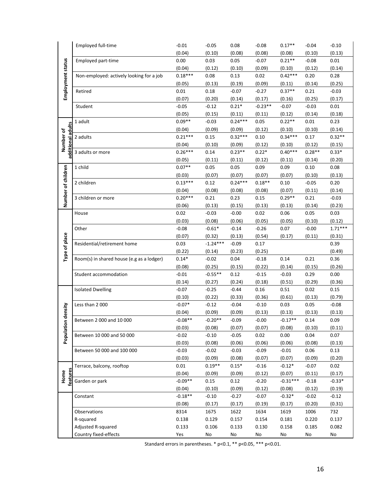|                                | Employed full-time                        | $-0.01$   | $-0.05$    | 0.08      | $-0.08$   | $0.17**$   | $-0.04$  | $-0.10$   |
|--------------------------------|-------------------------------------------|-----------|------------|-----------|-----------|------------|----------|-----------|
|                                |                                           | (0.04)    | (0.10)     | (0.08)    | (0.08)    | (0.08)     | (0.10)   | (0.13)    |
|                                | Employed part-time                        | 0.00      | 0.03       | 0.05      | $-0.07$   | $0.21**$   | $-0.08$  | $0.01\,$  |
|                                |                                           | (0.04)    | (0.12)     | (0.10)    | (0.09)    | (0.10)     | (0.12)   | (0.14)    |
|                                | Non-employed: actively looking for a job  | $0.18***$ | 0.08       | 0.13      | 0.02      | $0.42***$  | 0.20     | 0.28      |
|                                |                                           | (0.05)    | (0.13)     | (0.19)    | (0.09)    | (0.11)     | (0.14)   | (0.25)    |
| Employment status              | Retired                                   | 0.01      | 0.18       | $-0.07$   | $-0.27$   | $0.37**$   | 0.21     | $-0.03$   |
|                                |                                           | (0.07)    | (0.20)     | (0.14)    | (0.17)    | (0.16)     | (0.25)   | (0.17)    |
|                                | Student                                   | $-0.05$   | $-0.12$    | $0.21*$   | $-0.23**$ | $-0.07$    | $-0.03$  | $0.01\,$  |
|                                |                                           | (0.05)    | (0.15)     | (0.11)    | (0.11)    | (0.12)     | (0.14)   | (0.18)    |
|                                | 1 adult                                   | $0.09**$  | $-0.03$    | $0.24***$ | 0.05      | $0.22**$   | $0.01\,$ | 0.23      |
|                                |                                           | (0.04)    | (0.09)     | (0.09)    | (0.12)    | (0.10)     | (0.10)   | (0.14)    |
| additional adults<br>Number of | 2 adults                                  | $0.21***$ | 0.15       | $0.32***$ | 0.10      | $0.34***$  | 0.17     | $0.32**$  |
|                                |                                           | (0.04)    | (0.10)     | (0.09)    | (0.12)    | (0.10)     | (0.12)   | (0.15)    |
|                                | 3 adults or more                          | $0.26***$ | 0.14       | $0.23**$  | $0.22*$   | $0.40***$  | $0.28**$ | $0.33*$   |
|                                |                                           | (0.05)    | (0.11)     | (0.11)    | (0.12)    | (0.11)     | (0.14)   | (0.20)    |
|                                | 1 child                                   | $0.07**$  | 0.05       | 0.05      | 0.09      | 0.09       | 0.10     | 0.08      |
| Number of children             |                                           | (0.03)    | (0.07)     | (0.07)    | (0.07)    | (0.07)     | (0.10)   | (0.13)    |
|                                | 2 children                                | $0.13***$ | 0.12       | $0.24***$ | $0.18**$  | 0.10       | $-0.05$  | 0.20      |
|                                |                                           | (0.04)    | (0.08)     | (0.08)    | (0.08)    | (0.07)     | (0.11)   | (0.14)    |
|                                | 3 children or more                        | $0.20***$ | 0.21       | 0.23      | 0.15      | $0.29**$   | 0.21     | $-0.03$   |
|                                |                                           | (0.06)    | (0.13)     | (0.15)    | (0.13)    | (0.13)     | (0.14)   | (0.23)    |
|                                | House                                     | 0.02      | $-0.03$    | $-0.00$   | 0.02      | 0.06       | 0.05     | 0.03      |
|                                |                                           | (0.03)    | (0.08)     | (0.06)    | (0.05)    | (0.05)     | (0.10)   | (0.12)    |
|                                | Other                                     | $-0.08$   | $-0.61*$   | $-0.14$   | $-0.26$   | 0.07       | $-0.00$  | $1.71***$ |
|                                |                                           | (0.07)    | (0.32)     | (0.13)    | (0.54)    | (0.17)     | (0.11)   | (0.31)    |
| Type of place                  | Residential/retirement home               | 0.03      | $-1.24***$ | $-0.09$   | 0.17      |            |          | 0.39      |
|                                |                                           | (0.22)    | (0.14)     | (0.23)    | (0.25)    |            |          | (0.49)    |
|                                | Room(s) in shared house (e.g as a lodger) | $0.14*$   | $-0.02$    | 0.04      | $-0.18$   | 0.14       | 0.21     | 0.36      |
|                                |                                           | (0.08)    | (0.25)     | (0.15)    | (0.22)    | (0.14)     | (0.15)   | (0.26)    |
|                                | Student accommodation                     | $-0.01$   | $-0.55**$  | 0.12      | $-0.15$   | $-0.03$    | 0.29     | 0.00      |
|                                |                                           | (0.14)    | (0.27)     | (0.24)    | (0.18)    | (0.51)     | (0.29)   | (0.36)    |
|                                | <b>Isolated Dwelling</b>                  | $-0.07$   | $-0.25$    | $-0.44$   | 0.16      | 0.51       | 0.02     | 0.15      |
|                                |                                           | (0.10)    | (0.22)     | (0.33)    | (0.36)    | (0.61)     | (0.13)   | (0.79)    |
|                                | Less than 2 000                           | $-0.07*$  | $-0.12$    | $-0.04$   | $-0.10$   | 0.03       | 0.05     | $-0.08$   |
|                                |                                           | (0.04)    | (0.09)     | (0.09)    | (0.13)    | (0.13)     | (0.13)   | (0.13)    |
| Population density             | Between 2000 and 10000                    | $-0.08**$ | $-0.20**$  | $-0.09$   | $-0.00$   | $-0.17**$  | 0.14     | 0.09      |
|                                |                                           | (0.03)    | (0.08)     | (0.07)    | (0.07)    | (0.08)     | (0.10)   | (0.11)    |
|                                | Between 10 000 and 50 000                 | $-0.02$   | $-0.10$    | $-0.05$   | 0.02      | 0.00       | 0.04     | 0.07      |
|                                |                                           | (0.03)    | (0.08)     | (0.06)    | (0.06)    | (0.06)     | (0.08)   | (0.13)    |
|                                | Between 50 000 and 100 000                | $-0.03$   | $-0.02$    | $-0.03$   | $-0.09$   | $-0.01$    | 0.06     | 0.13      |
|                                |                                           | (0.03)    | (0.09)     | (0.08)    | (0.07)    | (0.07)     | (0.09)   | (0.20)    |
|                                | Terrace, balcony, rooftop                 | $0.01\,$  | $0.19**$   | $0.15*$   | $-0.16$   | $-0.12*$   | $-0.07$  | 0.02      |
| features<br>Home               |                                           | (0.04)    | (0.09)     | (0.09)    | (0.12)    | (0.07)     | (0.11)   | (0.17)    |
|                                | Garden or park                            | $-0.09**$ | 0.15       | 0.12      | $-0.20$   | $-0.31***$ | $-0.18$  | $-0.33*$  |
|                                |                                           | (0.04)    | (0.10)     | (0.09)    | (0.12)    | (0.08)     | (0.12)   | (0.19)    |
|                                | Constant                                  | $-0.18**$ | $-0.10$    | $-0.27$   | $-0.07$   | $-0.32*$   | $-0.02$  | $-0.12$   |
|                                |                                           | (0.08)    | (0.17)     | (0.17)    | (0.19)    | (0.17)     | (0.20)   | (0.31)    |
|                                | Observations                              | 8314      | 1675       | 1622      | 1634      | 1619       | 1006     | 732       |
|                                |                                           | 0.138     | 0.129      | 0.157     | 0.154     | 0.181      | 0.220    | 0.137     |
|                                | R-squared                                 |           |            |           |           |            |          |           |
|                                | Adjusted R-squared                        | 0.133     | 0.106      | 0.133     | 0.130     | 0.158      | 0.185    | 0.082     |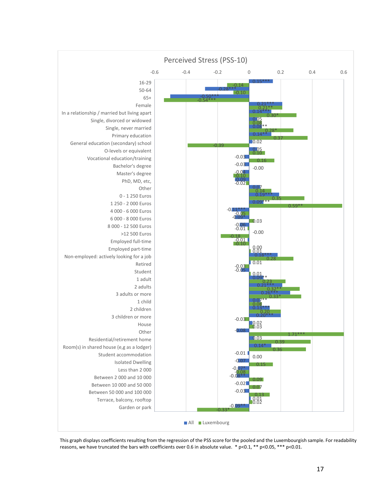

This graph displays coefficients resulting from the regression of the PSS score for the pooled and the Luxembourgish sample. For readability reasons, we have truncated the bars with coefficients over 0.6 in absolute value.  $*$  p<0.1,  $**$  p<0.05,  $***$  p<0.01.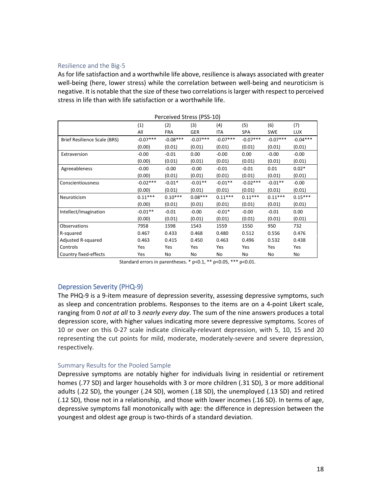#### Resilience and the Big‐5

As for life satisfaction and a worthwhile life above, resilience is always associated with greater well-being (here, lower stress) while the correlation between well-being and neuroticism is negative. It is notable that the size of these two correlationsislarger with respect to perceived stress in life than with life satisfaction or a worthwhile life.

|                              | Perceived Stress (PSS-10) |            |            |            |            |            |            |  |  |  |  |  |
|------------------------------|---------------------------|------------|------------|------------|------------|------------|------------|--|--|--|--|--|
|                              | (1)                       | (2)        | (3)        | (4)        | (5)        | (6)        | (7)        |  |  |  |  |  |
|                              | All                       | <b>FRA</b> | <b>GER</b> | <b>ITA</b> | <b>SPA</b> | <b>SWE</b> | <b>LUX</b> |  |  |  |  |  |
| Brief Resilience Scale (BRS) | $-0.07***$                | $-0.08***$ | $-0.07***$ | $-0.07***$ | $-0.07***$ | $-0.07***$ | $-0.04***$ |  |  |  |  |  |
|                              | (0.00)                    | (0.01)     | (0.01)     | (0.01)     | (0.01)     | (0.01)     | (0.01)     |  |  |  |  |  |
| Extraversion                 | $-0.00$                   | $-0.01$    | 0.00       | $-0.00$    | 0.00       | $-0.00$    | $-0.00$    |  |  |  |  |  |
|                              | (0.00)                    | (0.01)     | (0.01)     | (0.01)     | (0.01)     | (0.01)     | (0.01)     |  |  |  |  |  |
| Agreeableness                | $-0.00$                   | $-0.00$    | $-0.00$    | $-0.01$    | $-0.01$    | 0.01       | $0.02*$    |  |  |  |  |  |
|                              | (0.00)                    | (0.01)     | (0.01)     | (0.01)     | (0.01)     | (0.01)     | (0.01)     |  |  |  |  |  |
| Conscientiousness            | $-0.02***$                | $-0.01*$   | $-0.01**$  | $-0.01**$  | $-0.02***$ | $-0.01**$  | $-0.00$    |  |  |  |  |  |
|                              | (0.00)                    | (0.01)     | (0.01)     | (0.01)     | (0.01)     | (0.01)     | (0.01)     |  |  |  |  |  |
| Neuroticism                  | $0.11***$                 | $0.10***$  | $0.08***$  | $0.11***$  | $0.11***$  | $0.11***$  | $0.15***$  |  |  |  |  |  |
|                              | (0.00)                    | (0.01)     | (0.01)     | (0.01)     | (0.01)     | (0.01)     | (0.01)     |  |  |  |  |  |
| Intellect/Imagination        | $-0.01**$                 | $-0.01$    | $-0.00$    | $-0.01*$   | $-0.00$    | $-0.01$    | 0.00       |  |  |  |  |  |
|                              | (0.00)                    | (0.01)     | (0.01)     | (0.01)     | (0.01)     | (0.01)     | (0.01)     |  |  |  |  |  |
| Observations                 | 7958                      | 1598       | 1543       | 1559       | 1550       | 950        | 732        |  |  |  |  |  |
| R-squared                    | 0.467                     | 0.433      | 0.468      | 0.480      | 0.512      | 0.556      | 0.476      |  |  |  |  |  |
| Adjusted R-squared           | 0.463                     | 0.415      | 0.450      | 0.463      | 0.496      | 0.532      | 0.438      |  |  |  |  |  |
| Controls                     | Yes                       | Yes        | Yes        | Yes        | Yes        | Yes        | Yes        |  |  |  |  |  |
| Country fixed-effects        | Yes                       | No         | No         | No         | No         | No         | No         |  |  |  |  |  |

Standard errors in parentheses. \* p<0.1, \*\* p<0.05, \*\*\* p<0.01.

# Depression Severity (PHQ‐9)

The PHQ‐9 is a 9‐item measure of depression severity, assessing depressive symptoms, such as sleep and concentration problems. Responses to the items are on a 4‐point Likert scale, ranging from 0 *not at all* to 3 *nearly every day*. The sum of the nine answers produces a total depression score, with higher values indicating more severe depressive symptoms. Scores of 10 or over on this 0‐27 scale indicate clinically‐relevant depression, with 5, 10, 15 and 20 representing the cut points for mild, moderate, moderately‐severe and severe depression, respectively.

# Summary Results for the Pooled Sample

Depressive symptoms are notably higher for individuals living in residential or retirement homes (.77 SD) and larger households with 3 or more children (.31 SD), 3 or more additional adults (.22 SD), the younger (.24 SD), women (.18 SD), the unemployed (.13 SD) and retired (.12 SD), those not in a relationship, and those with lower incomes (.16 SD). In terms of age, depressive symptoms fall monotonically with age: the difference in depression between the youngest and oldest age group is two-thirds of a standard deviation.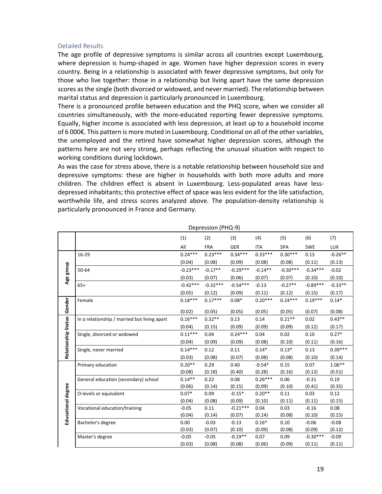#### Detailed Results

The age profile of depressive symptoms is similar across all countries except Luxembourg, where depression is hump-shaped in age. Women have higher depression scores in every country. Being in a relationship is associated with fewer depressive symptoms, but only for those who live together: those in a relationship but living apart have the same depression scores asthe single (both divorced or widowed, and never married). The relationship between marital status and depression is particularly pronounced in Luxembourg.

There is a pronounced profile between education and the PHQ score, when we consider all countries simultaneously, with the more‐educated reporting fewer depressive symptoms. Equally, higher income is associated with less depression, at least up to a household income of 6 000€. This pattern is more muted in Luxembourg. Conditional on all of the other variables, the unemployed and the retired have somewhat higher depression scores, although the patterns here are not very strong, perhaps reflecting the unusual situation with respect to working conditions during lockdown.

As was the case for stress above, there is a notable relationship between household size and depressive symptoms: these are higher in households with both more adults and more children. The children effect is absent in Luxembourg. Less-populated areas have lessdepressed inhabitants; this protective effect of space was less evident for the life satisfaction, worthwhile life, and stress scores analyzed above. The population-density relationship is particularly pronounced in France and Germany.

|                     |                                              | (1)                 | (2)                | (3)            | (4)            | (5)                | (6)            | (7)                |
|---------------------|----------------------------------------------|---------------------|--------------------|----------------|----------------|--------------------|----------------|--------------------|
|                     |                                              | All                 | <b>FRA</b>         | <b>GER</b>     | <b>ITA</b>     | <b>SPA</b>         | <b>SWE</b>     | <b>LUX</b>         |
|                     | 16-29                                        | $0.24***$           | $0.23***$          | $0.34***$      | $0.33***$      | $0.30***$          | 0.13           | $-0.26**$          |
|                     |                                              | (0.04)              | (0.08)             | (0.09)         | (0.08)         | (0.08)             | (0.11)         | (0.13)             |
| Age group           | 50-64                                        | $-0.23***$          | $-0.17**$          | $-0.29***$     | $-0.14**$      | $-0.30***$         | $-0.34***$     | $-0.02$            |
|                     |                                              | (0.03)              | (0.07)             | (0.06)         | (0.07)         | (0.07)             | (0.10)         | (0.10)             |
|                     | $65+$                                        | $-0.42***$          | $-0.32***$         | $-0.54***$     | $-0.13$        | $-0.27**$          | $-0.89***$     | $-0.33**$          |
|                     |                                              | (0.05)              | (0.12)             | (0.09)         | (0.11)         | (0.12)             | (0.15)         | (0.17)             |
|                     | Female                                       | $0.18***$           | $0.17***$          | $0.08*$        | $0.20***$      | $0.24***$          | $0.19***$      | $0.14*$            |
| Gender              |                                              |                     |                    |                |                |                    |                |                    |
|                     |                                              | (0.02)<br>$0.16***$ | (0.05)<br>$0.32**$ | (0.05)<br>0.13 | (0.05)<br>0.14 | (0.05)<br>$0.21**$ | (0.07)<br>0.02 | (0.08)<br>$0.43**$ |
| Relationship Status | In a relationship / married but living apart |                     |                    |                |                |                    |                |                    |
|                     |                                              | (0.04)              | (0.15)             | (0.09)         | (0.09)         | (0.09)             | (0.12)         | (0.17)             |
|                     | Single, divorced or widowed                  | $0.11***$           | 0.04               | $0.24***$      | 0.04           | 0.02               | 0.10           | $0.27*$            |
|                     |                                              | (0.04)              | (0.09)             | (0.09)         | (0.08)         | (0.10)             | (0.11)         | (0.16)             |
|                     | Single, never married                        | $0.14***$           | 0.12               | 0.11           | $0.14*$        | $0.13*$            | 0.13           | $0.39***$          |
|                     |                                              | (0.03)              | (0.08)             | (0.07)         | (0.08)         | (0.08)             | (0.10)         | (0.14)             |
|                     | Primary education                            | $0.20**$            | 0.29               | 0.40           | $-0.54*$       | 0.15               | 0.07           | $1.06***$          |
|                     |                                              | (0.08)              | (0.18)             | (0.40)         | (0.28)         | (0.16)             | (0.12)         | (0.51)             |
|                     | General education (secondary) school         | $0.14**$            | 0.22               | 0.08           | $0.26***$      | 0.06               | $-0.31$        | 0.19               |
|                     |                                              | (0.06)              | (0.14)             | (0.15)         | (0.09)         | (0.10)             | (0.41)         | (0.35)             |
|                     | O-levels or equivalent                       | $0.07*$             | 0.09               | $-0.15*$       | $0.20**$       | 0.11               | 0.03           | 0.12               |
|                     |                                              | (0.04)              | (0.08)             | (0.09)         | (0.10)         | (0.11)             | (0.11)         | (0.15)             |
| Educational degree  | Vocational education/training                | $-0.05$             | 0.11               | $-0.21***$     | 0.04           | 0.03               | $-0.16$        | 0.08               |
|                     |                                              | (0.04)              | (0.14)             | (0.07)         | (0.14)         | (0.08)             | (0.10)         | (0.15)             |
|                     | Bachelor's degree                            | 0.00                | $-0.03$            | $-0.13$        | $0.16*$        | 0.10               | $-0.06$        | $-0.08$            |
|                     |                                              | (0.03)              | (0.07)             | (0.10)         | (0.09)         | (0.08)             | (0.09)         | (0.12)             |
|                     | Master's degree                              | $-0.05$             | $-0.05$            | $-0.19**$      | 0.07           | 0.09               | $-0.30***$     | $-0.09$            |
|                     |                                              | (0.03)              | (0.08)             | (0.08)         | (0.06)         | (0.09)             | (0.11)         | (0.11)             |

Depression (PHQ‐9)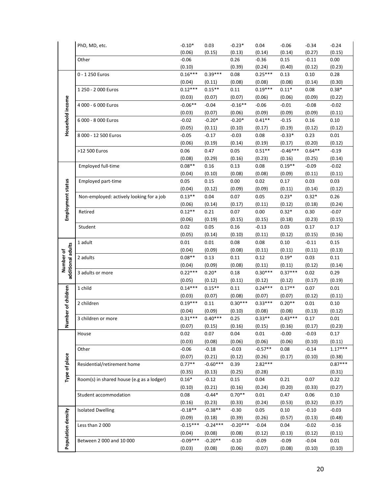|                    | PhD, MD, etc.                             | $-0.10*$             | 0.03                | $-0.23*$           | 0.04              | $-0.06$           | $-0.34$           | $-0.24$        |
|--------------------|-------------------------------------------|----------------------|---------------------|--------------------|-------------------|-------------------|-------------------|----------------|
|                    |                                           | (0.06)               | (0.15)              | (0.13)             | (0.14)            | (0.14)            | (0.27)            | (0.15)         |
|                    | Other                                     | $-0.06$              |                     | 0.26               | $-0.36$           | 0.15              | $-0.11$           | 0.00           |
|                    |                                           | (0.10)               |                     | (0.39)             | (0.24)            | (0.40)            | (0.12)            | (0.23)         |
|                    | 0 - 1 250 Euros                           | $0.16***$            | $0.39***$           | 0.08               | $0.25***$         | 0.13              | 0.10              | 0.28           |
|                    |                                           | (0.04)               | (0.11)              | (0.08)             | (0.08)            | (0.08)            | (0.14)            | (0.30)         |
|                    | 1 250 - 2 000 Euros                       | $0.12***$            | $0.15***$           | 0.11               | $0.19***$         | $0.11*$           | 0.08              | $0.38*$        |
|                    |                                           | (0.03)               | (0.07)              | (0.07)             | (0.06)            | (0.06)            | (0.09)            | (0.22)         |
|                    | 4 000 - 6 000 Euros                       | $-0.06**$            | $-0.04$             | $-0.16**$          | $-0.06$           | $-0.01$           | $-0.08$           | $-0.02$        |
|                    |                                           | (0.03)               | (0.07)              | (0.06)             | (0.09)            | (0.09)            | (0.09)            | (0.11)         |
| Household income   | 6 000 - 8 000 Euros                       | $-0.02$              | $-0.20*$            | $-0.20*$           | $0.41**$          | $-0.15$           | 0.16              | 0.10           |
|                    |                                           | (0.05)               | (0.11)              | (0.10)             | (0.17)            | (0.19)            | (0.12)            | (0.12)         |
|                    | 8 000 - 12 500 Euros                      | $-0.05$              | $-0.17$             | $-0.03$            | 0.08              | $-0.33*$          | 0.23              | 0.01           |
|                    |                                           | (0.06)               | (0.19)              | (0.14)             | (0.19)            | (0.17)            | (0.20)            | (0.12)         |
|                    | >12 500 Euros                             | 0.06                 | 0.47                | 0.05               | $0.51**$          | $-0.46***$        | $0.64**$          | $-0.19$        |
|                    |                                           | (0.08)               | (0.29)              | (0.16)             | (0.23)            | (0.16)            | (0.25)            | (0.14)         |
|                    | Employed full-time                        | $0.08**$             | 0.16                | 0.13               | 0.08              | $0.19**$          | $-0.09$           | $-0.02$        |
|                    |                                           | (0.04)               | (0.10)              | (0.08)             | (0.08)            | (0.09)            | (0.11)            | (0.11)         |
|                    | Employed part-time                        | 0.05                 | 0.15                | 0.00               | 0.02              | 0.17              | 0.03              | 0.03           |
|                    |                                           | (0.04)               | (0.12)              | (0.09)             | (0.09)            | (0.11)            | (0.14)            | (0.12)         |
|                    | Non-employed: actively looking for a job  | $0.13**$             | 0.04                | 0.07               | 0.05              | $0.23*$           | $0.32*$           | 0.26           |
| Employment status  |                                           | (0.06)               | (0.14)              | (0.17)             | (0.11)            | (0.12)            | (0.18)            | (0.24)         |
|                    | Retired                                   | $0.12**$             | 0.21                | 0.07               | 0.00              | $0.32*$           | 0.30              | $-0.07$        |
|                    |                                           | (0.06)               | (0.19)              | (0.15)             | (0.15)            | (0.18)            | (0.23)            | (0.15)         |
|                    | Student                                   | 0.02                 | 0.05                | 0.16               | $-0.13$           | 0.03              | 0.17              | 0.17           |
|                    |                                           | (0.05)               | (0.14)              | (0.10)             | (0.11)            | (0.12)            | (0.15)            | (0.16)         |
|                    | 1 adult                                   | 0.01                 | 0.01                | 0.08               | 0.08              | 0.10              | $-0.11$           | 0.15           |
|                    |                                           | (0.04)               | (0.09)              | (0.08)             | (0.11)            | (0.11)            | (0.11)            | (0.13)         |
| Number of          | 2 adults                                  | $0.08**$             | 0.13                | 0.11               | 0.12              | $0.19*$           | 0.03              | 0.11           |
|                    |                                           | (0.04)               | (0.09)              | (0.08)             | (0.11)            | (0.11)            | (0.12)            | (0.14)         |
| additional adults  | 3 adults or more                          | $0.22***$            | $0.20*$             | 0.18               | $0.30***$         | $0.37***$         | 0.02              | 0.29           |
|                    |                                           | (0.05)               | (0.12)              | (0.11)             | (0.12)            | (0.12)            | (0.17)            | (0.19)         |
| mber of children   | 1 child                                   | $0.14***$            | $0.15**$            | 0.11               | $0.24***$         | $0.17**$          | 0.07              | 0.01           |
|                    |                                           | (0.03)               | (0.07)              | (0.08)             | (0.07)            | (0.07)            | (0.12)            | (0.11)         |
|                    | 2 children                                | $0.19***$            | 0.11                | $0.30***$          | $0.33***$         | $0.20**$          | 0.01              | 0.10           |
|                    |                                           | (0.04)               | (0.09)              | (0.10)             | (0.08)            | (0.08)            | (0.13)            | (0.12)         |
|                    | 3 children or more                        | $0.31***$            | $0.40***$           | 0.25               | $0.33**$          | $0.43***$         | 0.17              | 0.01           |
| Ē                  |                                           | (0.07)               | (0.15)              | (0.16)             | (0.15)            | (0.16)            | (0.17)            | (0.23)         |
|                    | House                                     | 0.02                 | 0.07                | 0.04               | $0.01\,$          | $-0.00$           | $-0.03$           | 0.17           |
|                    |                                           | (0.03)               | (0.08)              | (0.06)             | (0.06)            | (0.06)            | (0.10)            | (0.11)         |
|                    | Other                                     | $-0.06$              | $-0.18$             | $-0.03$            | $-0.57**$         | 0.08              | $-0.14$           | $1.17***$      |
| Type of place      |                                           | (0.07)               | (0.21)              | (0.12)             | (0.26)            | (0.17)            | (0.10)            | (0.38)         |
|                    | Residential/retirement home               | $0.77**$             | $-0.60***$          | 0.39               | $2.82***$         |                   |                   | $0.87***$      |
|                    |                                           | (0.35)               | (0.13)              | (0.25)             | (0.28)            |                   |                   | (0.31)         |
|                    | Room(s) in shared house (e.g as a lodger) | $0.16*$              | $-0.12$             | 0.15               | 0.04              | 0.21              | 0.07              | 0.22           |
|                    |                                           | (0.10)               | (0.21)              | (0.16)<br>$0.70**$ | (0.24)            | (0.20)            | (0.33)            | (0.27)         |
|                    | Student accommodation                     | 0.08                 | $-0.44*$            |                    | 0.01              | 0.47              | 0.06              | 0.10           |
|                    |                                           | (0.16)<br>$-0.18**$  | (0.23)<br>$-0.38**$ | (0.33)             | (0.24)            | (0.53)            | (0.32)            | (0.37)         |
|                    | <b>Isolated Dwelling</b>                  |                      |                     | $-0.30$            | 0.05              | 0.10              | $-0.10$           | $-0.03$        |
|                    |                                           | (0.09)               | (0.18)              | (0.39)             | (0.26)            | (0.57)            | (0.13)            | (0.48)         |
|                    | Less than 2000                            | $-0.15***$           | $-0.24***$          | $-0.20***$         | $-0.04$           | 0.04              | $-0.02$           | $-0.16$        |
|                    |                                           | (0.04)<br>$-0.09***$ | (0.08)<br>$-0.20**$ | (0.08)             | (0.12)            | (0.13)            | (0.12)            | (0.11)         |
| Population density | Between 2 000 and 10 000                  | (0.03)               | (0.08)              | $-0.10$<br>(0.06)  | $-0.09$<br>(0.07) | $-0.09$<br>(0.08) | $-0.04$<br>(0.10) | 0.01<br>(0.10) |
|                    |                                           |                      |                     |                    |                   |                   |                   |                |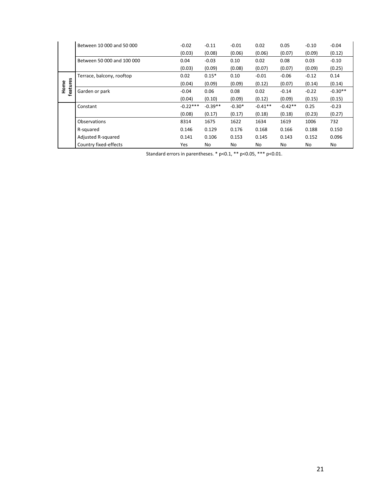|          | Between 10 000 and 50 000  | $-0.02$    | $-0.11$   | $-0.01$  | 0.02      | 0.05      | $-0.10$ | $-0.04$   |
|----------|----------------------------|------------|-----------|----------|-----------|-----------|---------|-----------|
|          |                            | (0.03)     | (0.08)    | (0.06)   | (0.06)    | (0.07)    | (0.09)  | (0.12)    |
|          | Between 50 000 and 100 000 | 0.04       | $-0.03$   | 0.10     | 0.02      | 0.08      | 0.03    | $-0.10$   |
|          |                            | (0.03)     | (0.09)    | (0.08)   | (0.07)    | (0.07)    | (0.09)  | (0.25)    |
|          | Terrace, balcony, rooftop  | 0.02       | $0.15*$   | 0.10     | $-0.01$   | $-0.06$   | $-0.12$ | 0.14      |
| Home     |                            | (0.04)     | (0.09)    | (0.09)   | (0.12)    | (0.07)    | (0.14)  | (0.14)    |
| features | Garden or park             | $-0.04$    | 0.06      | 0.08     | 0.02      | $-0.14$   | $-0.22$ | $-0.30**$ |
|          |                            | (0.04)     | (0.10)    | (0.09)   | (0.12)    | (0.09)    | (0.15)  | (0.15)    |
|          | Constant                   | $-0.22***$ | $-0.39**$ | $-0.30*$ | $-0.41**$ | $-0.42**$ | 0.25    | $-0.23$   |
|          |                            | (0.08)     | (0.17)    | (0.17)   | (0.18)    | (0.18)    | (0.23)  | (0.27)    |
|          | Observations               | 8314       | 1675      | 1622     | 1634      | 1619      | 1006    | 732       |
|          | R-squared                  | 0.146      | 0.129     | 0.176    | 0.168     | 0.166     | 0.188   | 0.150     |
|          | Adjusted R-squared         | 0.141      | 0.106     | 0.153    | 0.145     | 0.143     | 0.152   | 0.096     |
|          | Country fixed-effects      | Yes        | No        | No       | No        | No        | No      | No        |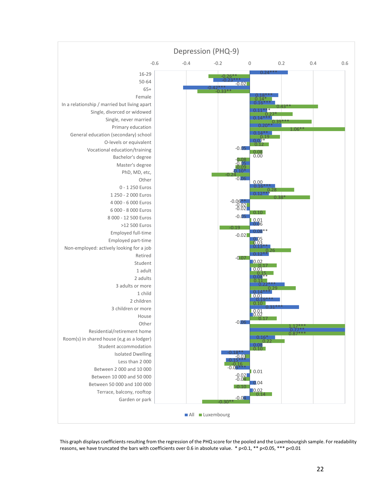

This graph displays coefficients resulting from the regression of the PHQ score for the pooled and the Luxembourgish sample. For readability reasons, we have truncated the bars with coefficients over 0.6 in absolute value. \* p<0.1, \*\* p<0.05, \*\*\* p<0.01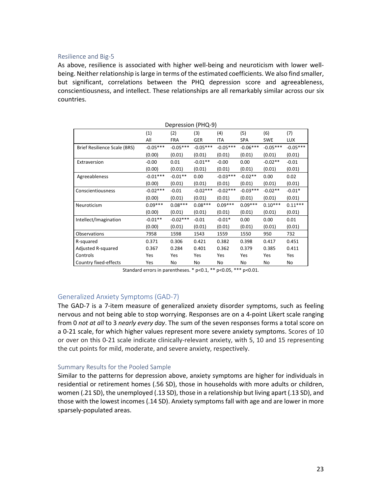#### Resilience and Big‐5

As above, resilience is associated with higher well‐being and neuroticism with lower well‐ being. Neither relationship is large in terms of the estimated coefficients. We also find smaller, but significant, correlations between the PHQ depression score and agreeableness, conscientiousness, and intellect. These relationships are all remarkably similar across our six countries.

|                              | Depression (PHQ-9) |            |            |            |            |            |            |  |
|------------------------------|--------------------|------------|------------|------------|------------|------------|------------|--|
|                              | (1)                | (2)        | (3)        | (4)        | (5)        | (6)        | (7)        |  |
|                              | All                | <b>FRA</b> | <b>GER</b> | ITA        | <b>SPA</b> | <b>SWE</b> | <b>LUX</b> |  |
| Brief Resilience Scale (BRS) | $-0.05***$         | $-0.05***$ | $-0.05***$ | $-0.05***$ | $-0.06***$ | $-0.05***$ | $-0.05***$ |  |
|                              | (0.00)             | (0.01)     | (0.01)     | (0.01)     | (0.01)     | (0.01)     | (0.01)     |  |
| Extraversion                 | $-0.00$            | 0.01       | $-0.01**$  | $-0.00$    | 0.00       | $-0.02**$  | $-0.01$    |  |
|                              | (0.00)             | (0.01)     | (0.01)     | (0.01)     | (0.01)     | (0.01)     | (0.01)     |  |
| Agreeableness                | $-0.01***$         | $-0.01**$  | 0.00       | $-0.03***$ | $-0.02**$  | 0.00       | 0.02       |  |
|                              | (0.00)             | (0.01)     | (0.01)     | (0.01)     | (0.01)     | (0.01)     | (0.01)     |  |
| Conscientiousness            | $-0.02***$         | $-0.01$    | $-0.02***$ | $-0.02***$ | $-0.03***$ | $-0.02**$  | $-0.01*$   |  |
|                              | (0.00)             | (0.01)     | (0.01)     | (0.01)     | (0.01)     | (0.01)     | (0.01)     |  |
| Neuroticism                  | $0.09***$          | $0.08***$  | $0.08***$  | $0.09***$  | $0.09***$  | $0.10***$  | $0.11***$  |  |
|                              | (0.00)             | (0.01)     | (0.01)     | (0.01)     | (0.01)     | (0.01)     | (0.01)     |  |
| Intellect/Imagination        | $-0.01**$          | $-0.02***$ | $-0.01$    | $-0.01*$   | 0.00       | 0.00       | 0.01       |  |
|                              | (0.00)             | (0.01)     | (0.01)     | (0.01)     | (0.01)     | (0.01)     | (0.01)     |  |
| Observations                 | 7958               | 1598       | 1543       | 1559       | 1550       | 950        | 732        |  |
| R-squared                    | 0.371              | 0.306      | 0.421      | 0.382      | 0.398      | 0.417      | 0.451      |  |
| Adjusted R-squared           | 0.367              | 0.284      | 0.401      | 0.362      | 0.379      | 0.385      | 0.411      |  |
| Controls                     | Yes                | Yes        | Yes        | Yes        | Yes        | Yes        | Yes        |  |
| Country fixed-effects        | Yes                | No         | No         | No         | No         | No         | No         |  |

Standard errors in parentheses. \* p<0.1, \*\* p<0.05, \*\*\* p<0.01.

# Generalized Anxiety Symptoms (GAD‐7)

The GAD-7 is a 7-item measure of generalized anxiety disorder symptoms, such as feeling nervous and not being able to stop worrying. Responses are on a 4‐point Likert scale ranging from 0 *not at all* to 3 *nearly every day*. The sum of the seven responses forms a total score on a 0‐21 scale, for which higher values represent more severe anxiety symptoms. Scores of 10 or over on this 0‐21 scale indicate clinically‐relevant anxiety, with 5, 10 and 15 representing the cut points for mild, moderate, and severe anxiety, respectively.

# Summary Results for the Pooled Sample

Similar to the patterns for depression above, anxiety symptoms are higher for individuals in residential or retirement homes (.56 SD), those in households with more adults or children, women (.21 SD), the unemployed (.13 SD), those in a relationship but living apart (.13 SD), and those with the lowest incomes (.14 SD). Anxiety symptoms fall with age and are lower in more sparsely‐populated areas.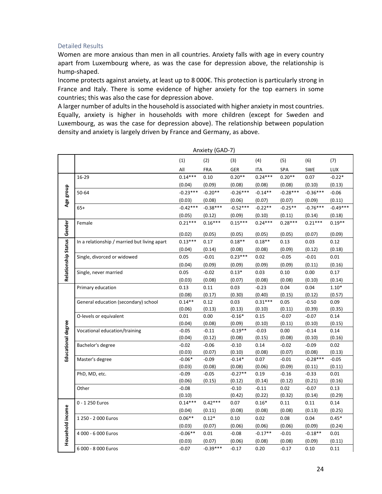# Detailed Results

Women are more anxious than men in all countries. Anxiety falls with age in every country apart from Luxembourg where, as was the case for depression above, the relationship is hump‐shaped.

Income protects against anxiety, at least up to 8 000€. This protection is particularly strong in France and Italy. There is some evidence of higher anxiety for the top earners in some countries; this was also the case for depression above.

A larger number of adults in the household is associated with higher anxiety in most countries. Equally, anxiety is higher in households with more children (except for Sweden and Luxembourg, as was the case for depression above). The relationship between population density and anxiety is largely driven by France and Germany, as above.

| (1)<br>(2)<br>(4)<br>(5)<br>(6)<br>(3)<br>All<br><b>FRA</b><br>GER<br><b>ITA</b><br>SPA<br><b>SWE</b><br>$0.14***$<br>$0.24***$<br>$0.20**$<br>$0.20**$<br>16-29<br>0.10<br>0.07<br>(0.04)<br>(0.09)<br>(0.08)<br>(0.08)<br>(0.10)<br>(0.08)<br>Age group<br>$-0.23***$<br>$-0.20**$<br>$-0.26***$<br>$-0.28***$<br>50-64<br>$-0.14**$<br>$-0.36***$ | (7)<br><b>LUX</b><br>$-0.22*$<br>(0.13)<br>$-0.06$ |
|------------------------------------------------------------------------------------------------------------------------------------------------------------------------------------------------------------------------------------------------------------------------------------------------------------------------------------------------------|----------------------------------------------------|
|                                                                                                                                                                                                                                                                                                                                                      |                                                    |
|                                                                                                                                                                                                                                                                                                                                                      |                                                    |
|                                                                                                                                                                                                                                                                                                                                                      |                                                    |
|                                                                                                                                                                                                                                                                                                                                                      |                                                    |
|                                                                                                                                                                                                                                                                                                                                                      |                                                    |
| (0.03)<br>(0.08)<br>(0.07)<br>(0.09)<br>(0.06)<br>(0.07)                                                                                                                                                                                                                                                                                             | (0.11)                                             |
| $-0.42***$<br>$-0.76***$<br>$-0.38***$<br>$-0.52***$<br>$-0.22**$<br>$-0.25**$<br>$65+$                                                                                                                                                                                                                                                              | $-0.49***$                                         |
| (0.05)<br>(0.12)<br>(0.09)<br>(0.10)<br>(0.11)<br>(0.14)                                                                                                                                                                                                                                                                                             | (0.18)                                             |
| Relationship Status Gender<br>$0.21***$<br>$0.16***$<br>$0.15***$<br>$0.28***$<br>$0.24***$<br>$0.21***$<br>Female                                                                                                                                                                                                                                   | $0.19**$                                           |
| (0.02)<br>(0.05)<br>(0.05)<br>(0.05)<br>(0.05)<br>(0.07)                                                                                                                                                                                                                                                                                             | (0.09)                                             |
| In a relationship / married but living apart<br>$0.13***$<br>0.17<br>$0.18**$<br>$0.18**$<br>0.13<br>0.03                                                                                                                                                                                                                                            | 0.12                                               |
| (0.04)<br>(0.14)<br>(0.08)<br>(0.08)<br>(0.09)<br>(0.12)                                                                                                                                                                                                                                                                                             | (0.18)                                             |
| $0.23***$<br>Single, divorced or widowed<br>0.05<br>$-0.01$<br>0.02<br>$-0.05$<br>$-0.01$                                                                                                                                                                                                                                                            | 0.01                                               |
| (0.04)<br>(0.09)<br>(0.09)<br>(0.09)<br>(0.09)<br>(0.11)                                                                                                                                                                                                                                                                                             | (0.16)                                             |
| $-0.02$<br>$0.13*$<br>0.03<br>0.10<br>0.05<br>0.00<br>Single, never married                                                                                                                                                                                                                                                                          | 0.17                                               |
| (0.08)<br>(0.03)<br>(0.07)<br>(0.08)<br>(0.08)<br>(0.10)                                                                                                                                                                                                                                                                                             | (0.14)                                             |
| 0.13<br>$-0.23$<br>0.04<br>Primary education<br>0.11<br>0.03<br>0.04                                                                                                                                                                                                                                                                                 | $1.10*$                                            |
| (0.08)<br>(0.17)<br>(0.30)<br>(0.40)<br>(0.15)<br>(0.12)                                                                                                                                                                                                                                                                                             | (0.57)                                             |
| $0.14**$<br>$0.31***$<br>General education (secondary) school<br>0.12<br>0.03<br>0.05<br>$-0.50$                                                                                                                                                                                                                                                     | 0.09                                               |
| (0.39)<br>(0.06)<br>(0.13)<br>(0.13)<br>(0.10)<br>(0.11)                                                                                                                                                                                                                                                                                             | (0.35)                                             |
| 0.00<br>$-0.16*$<br>0.01<br>0.15<br>$-0.07$<br>$-0.07$<br>O-levels or equivalent                                                                                                                                                                                                                                                                     | 0.14                                               |
| (0.04)<br>(0.08)<br>(0.10)<br>(0.09)<br>(0.11)<br>(0.10)                                                                                                                                                                                                                                                                                             | (0.15)                                             |
| Vocational education/training<br>$-0.05$<br>$-0.11$<br>$-0.19**$<br>$-0.03$<br>0.00<br>$-0.14$                                                                                                                                                                                                                                                       | 0.14                                               |
| (0.15)<br>(0.04)<br>(0.12)<br>(0.08)<br>(0.08)<br>(0.10)                                                                                                                                                                                                                                                                                             | (0.16)                                             |
| $-0.02$<br>$-0.06$<br>$-0.10$<br>0.14<br>$-0.02$<br>$-0.09$<br>Bachelor's degree                                                                                                                                                                                                                                                                     | 0.02                                               |
| Educational degree<br>(0.03)<br>(0.07)<br>(0.10)<br>(0.08)<br>(0.08)<br>(0.07)                                                                                                                                                                                                                                                                       | (0.13)                                             |
| $-0.28***$<br>$-0.06*$<br>$-0.09$<br>$-0.14*$<br>0.07<br>$-0.01$<br>Master's degree                                                                                                                                                                                                                                                                  | $-0.05$                                            |
| (0.03)<br>(0.08)<br>(0.06)<br>(0.08)<br>(0.09)<br>(0.11)<br>$-0.27**$<br>$-0.09$<br>$-0.05$<br>0.19<br>$-0.16$<br>$-0.33$                                                                                                                                                                                                                            | (0.11)<br>0.01                                     |
| PhD, MD, etc.<br>(0.06)<br>(0.15)<br>(0.12)<br>(0.14)<br>(0.12)<br>(0.21)                                                                                                                                                                                                                                                                            | (0.16)                                             |
| $-0.08$<br>$-0.10$<br>$-0.11$<br>0.02<br>$-0.07$<br>Other                                                                                                                                                                                                                                                                                            | 0.13                                               |
| (0.10)<br>(0.42)<br>(0.22)<br>(0.32)<br>(0.14)                                                                                                                                                                                                                                                                                                       | (0.29)                                             |
| $0.14***$<br>$0.42***$<br>$0.16*$<br>0.11<br>0 - 1 250 Euros<br>0.07<br>0.11                                                                                                                                                                                                                                                                         | 0.14                                               |
| (0.04)<br>(0.11)<br>(0.08)<br>(0.08)<br>(0.08)<br>(0.13)                                                                                                                                                                                                                                                                                             | (0.25)                                             |
| $0.06**$<br>$0.12*$<br>0.10<br>0.02<br>0.08<br>0.04<br>1 250 - 2 000 Euros                                                                                                                                                                                                                                                                           | $0.45*$                                            |
| Household income<br>(0.03)<br>(0.07)<br>(0.06)<br>(0.06)<br>(0.06)<br>(0.09)                                                                                                                                                                                                                                                                         | (0.24)                                             |
| $-0.06**$<br>4 000 - 6 000 Euros<br>0.01<br>$-0.08$<br>$-0.17**$<br>$-0.01$<br>$-0.18**$                                                                                                                                                                                                                                                             | 0.01                                               |
| (0.03)<br>(0.07)<br>(0.06)<br>(0.08)<br>(0.08)<br>(0.09)                                                                                                                                                                                                                                                                                             | (0.11)                                             |
| $-0.39***$<br>$-0.07$<br>0.20<br>$-0.17$<br>0.10<br>6 000 - 8 000 Euros<br>$-0.17$                                                                                                                                                                                                                                                                   | 0.11                                               |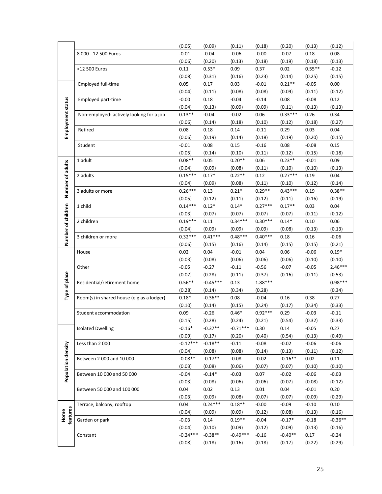|                    |                                           | (0.05)               | (0.09)              | (0.11)               | (0.18)            | (0.20)              | (0.13)         | (0.12)            |
|--------------------|-------------------------------------------|----------------------|---------------------|----------------------|-------------------|---------------------|----------------|-------------------|
|                    | 8 000 - 12 500 Euros                      | $-0.01$              | $-0.04$             | $-0.06$              | $-0.00$           | $-0.07$             | 0.18           | 0.08              |
|                    |                                           | (0.06)               | (0.20)              | (0.13)               | (0.18)            | (0.19)              | (0.18)         | (0.13)            |
|                    | >12 500 Euros                             | 0.11                 | $0.53*$             | 0.09                 | 0.37              | 0.02                | $0.55**$       | $-0.12$           |
|                    |                                           | (0.08)               | (0.31)              | (0.16)               | (0.23)            | (0.14)              | (0.25)         | (0.15)            |
|                    | Employed full-time                        | 0.05                 | 0.17                | 0.03                 | $-0.01$           | $0.21**$            | $-0.05$        | 0.00              |
|                    |                                           | (0.04)               | (0.11)              | (0.08)               | (0.08)            | (0.09)              | (0.11)         | (0.12)            |
|                    | Employed part-time                        | $-0.00$              | 0.18                | $-0.04$              | $-0.14$           | 0.08                | $-0.08$        | 0.12              |
| Employment status  |                                           | (0.04)               | (0.13)              | (0.09)               | (0.09)            | (0.11)              | (0.13)         | (0.13)            |
|                    | Non-employed: actively looking for a job  | $0.13**$             | $-0.04$             | $-0.02$              | 0.06              | $0.33***$           | 0.26           | 0.34              |
|                    |                                           | (0.06)               | (0.14)              | (0.18)               | (0.10)            | (0.12)              | (0.18)         | (0.27)            |
|                    | Retired                                   | 0.08                 | 0.18                | 0.14                 | $-0.11$           | 0.29                | 0.03           | 0.04              |
|                    |                                           | (0.06)               | (0.19)              | (0.14)               | (0.18)            | (0.19)              | (0.20)         | (0.15)            |
|                    | Student                                   | $-0.01$              | 0.08                | 0.15                 | $-0.16$           | 0.08                | $-0.08$        | 0.15              |
|                    |                                           | (0.05)               | (0.14)              | (0.10)               | (0.11)            | (0.12)              | (0.15)         | (0.18)            |
|                    | 1 adult                                   | $0.08**$             | 0.05                | $0.20**$             | 0.06              | $0.23**$            | $-0.01$        | 0.09              |
|                    |                                           | (0.04)               | (0.09)              | (0.08)               | (0.11)            | (0.10)              | (0.10)         | (0.13)            |
| Number of adults   | 2 adults                                  | $0.15***$            | $0.17*$             | $0.22**$             | 0.12              | $0.27***$           | 0.19           | 0.04              |
|                    |                                           | (0.04)               | (0.09)              | (0.08)               | (0.11)            | (0.10)              | (0.12)         | (0.14)            |
|                    | 3 adults or more                          | $0.26***$            | 0.13                | $0.21*$              | $0.29**$          | $0.43***$           | 0.19           | $0.38**$          |
|                    |                                           | (0.05)               | (0.12)              | (0.11)               | (0.12)            | (0.11)              | (0.16)         | (0.19)            |
| Number of children | 1 child                                   | $0.14***$            | $0.12*$             | $0.14*$              | $0.27***$         | $0.17**$            | 0.03           | 0.04              |
|                    |                                           | (0.03)               | (0.07)              | (0.07)               | (0.07)            | (0.07)              | (0.11)         | (0.12)            |
|                    | 2 children                                | $0.19***$            | 0.11                | $0.34***$            | $0.30***$         | $0.14*$             | 0.10           | 0.06              |
|                    |                                           | (0.04)               | (0.09)              | (0.09)               | (0.09)            | (0.08)              | (0.13)         | (0.13)            |
|                    | 3 children or more                        | $0.32***$            | $0.41***$           | $0.48***$            | $0.40***$         | 0.18                | 0.16           | $-0.06$           |
|                    |                                           | (0.06)               | (0.15)              | (0.16)               | (0.14)            | (0.15)              | (0.15)         | (0.21)            |
|                    | House                                     | 0.02                 | 0.04                | $-0.01$              | 0.04              | 0.06                | $-0.06$        | $0.19*$           |
|                    |                                           |                      |                     |                      |                   |                     |                |                   |
|                    |                                           | (0.03)               | (0.08)              | (0.06)               | (0.06)            | (0.06)              | (0.10)         | (0.10)            |
|                    | Other                                     | $-0.05$              | $-0.27$             | $-0.11$              | $-0.56$           | $-0.07$             | $-0.05$        | $2.46***$         |
|                    |                                           | (0.07)               | (0.28)              | (0.11)               | (0.37)            | (0.16)              | (0.11)         | (0.53)            |
|                    | Residential/retirement home               | $0.56**$             | $-0.45***$          | 0.13                 | 1.88***           |                     |                | $0.98***$         |
|                    |                                           | (0.28)               | (0.14)              | (0.34)               | (0.28)            |                     |                | (0.34)            |
| Type of place      | Room(s) in shared house (e.g as a lodger) | $0.18*$              | $-0.36**$           | 0.08                 | $-0.04$           | 0.16                | 0.38           | 0.27              |
|                    |                                           | (0.10)               | (0.14)              | (0.15)               | (0.24)            | (0.17)              | (0.34)         | (0.33)            |
|                    | Student accommodation                     | 0.09                 | $-0.26$             | $0.46*$              | $0.92***$         | 0.29                | $-0.03$        | $-0.11$           |
|                    |                                           | (0.15)               | (0.28)              | (0.24)               | (0.21)            | (0.54)              | (0.32)         | (0.33)            |
|                    | <b>Isolated Dwelling</b>                  | $-0.16*$             | $-0.37**$           | $-0.71***$           | 0.30              | 0.14                | $-0.05$        | 0.27              |
|                    |                                           | (0.09)               | (0.17)              | (0.20)               | (0.40)            | (0.54)              | (0.13)         | (0.49)            |
|                    | Less than 2000                            | $-0.12***$           | $-0.18**$           | $-0.11$              | $-0.08$           | $-0.02$             | $-0.06$        | $-0.06$           |
|                    |                                           | (0.04)               | (0.08)              | (0.08)               | (0.14)            | (0.13)              | (0.11)         | (0.12)            |
|                    | Between 2 000 and 10 000                  | $-0.08**$            | $-0.17**$           | $-0.08$              | $-0.02$           | $-0.16**$           | 0.02           | 0.11              |
|                    |                                           | (0.03)               | (0.08)              | (0.06)               | (0.07)            | (0.07)              | (0.10)         | (0.10)            |
|                    | Between 10 000 and 50 000                 | $-0.04$              | $-0.14*$            | $-0.03$              | 0.07              | $-0.02$             | $-0.06$        | $-0.03$           |
| Population density |                                           | (0.03)               | (0.08)              | (0.06)               | (0.06)            | (0.07)              | (0.08)         | (0.12)            |
|                    | Between 50 000 and 100 000                | 0.04                 | 0.02                | 0.13                 | 0.01              | 0.04                | $-0.01$        | 0.20              |
|                    |                                           | (0.03)               | (0.09)              | (0.08)               | (0.07)            | (0.07)              | (0.09)         | (0.29)            |
|                    | Terrace, balcony, rooftop                 | 0.04                 | $0.24***$           | $0.18**$             | $-0.00$           | $-0.09$             | $-0.10$        | 0.10              |
|                    |                                           | (0.04)               | (0.09)              | (0.09)               | (0.12)            | (0.08)              | (0.13)         | (0.16)            |
| features<br>Home   | Garden or park                            | $-0.03$              | 0.14                | $0.19**$             | $-0.04$           | $-0.17*$            | $-0.18$        | $-0.36**$         |
|                    |                                           | (0.04)               | (0.10)              | (0.09)               | (0.12)            | (0.09)              | (0.13)         | (0.16)            |
|                    | Constant                                  | $-0.24***$<br>(0.08) | $-0.38**$<br>(0.18) | $-0.49***$<br>(0.16) | $-0.16$<br>(0.18) | $-0.40**$<br>(0.17) | 0.17<br>(0.22) | $-0.24$<br>(0.29) |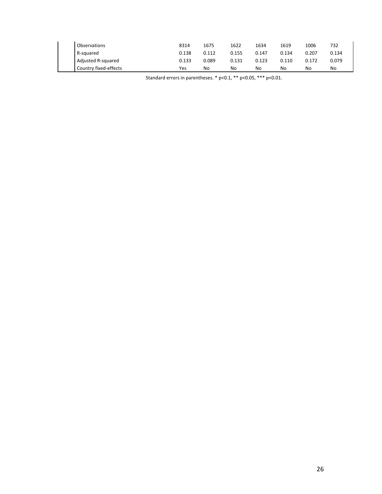| Observations          | 8314  | 1675  | 1622  | 1634  | 1619  | 1006  | 732   |
|-----------------------|-------|-------|-------|-------|-------|-------|-------|
| R-squared             | 0.138 | 0.112 | 0.155 | 0.147 | 0.134 | 0.207 | 0.134 |
| Adjusted R-squared    | 0.133 | 0.089 | 0.131 | 0.123 | 0.110 | 0.172 | 0.079 |
| Country fixed-effects | Yes   | No    | No    | No    | No    | No    | No    |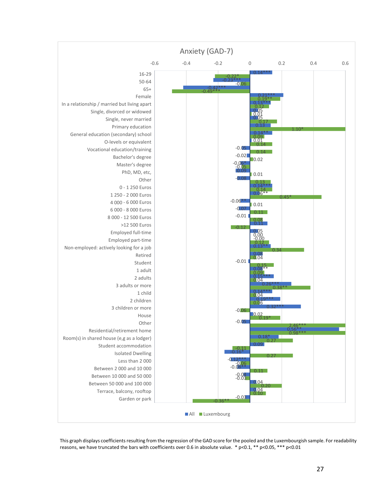

This graph displays coefficients resulting from the regression of the GAD score for the pooled and the Luxembourgish sample. For readability reasons, we have truncated the bars with coefficients over 0.6 in absolute value. \* p<0.1, \*\* p<0.05, \*\*\* p<0.01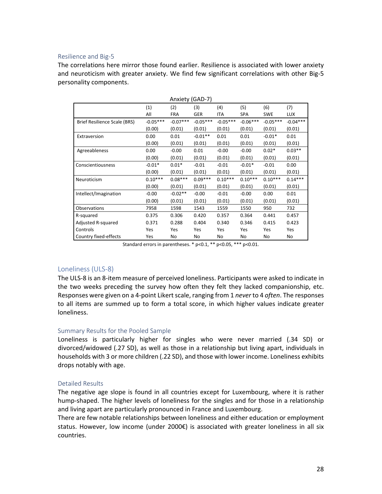#### Resilience and Big‐5

The correlations here mirror those found earlier. Resilience is associated with lower anxiety and neuroticism with greater anxiety. We find few significant correlations with other Big-5 personality components.

|                              |            | Anxiety (GAD-7) |            |            |            |            |            |
|------------------------------|------------|-----------------|------------|------------|------------|------------|------------|
|                              | (1)        | (2)             | (3)        | (4)        | (5)        | (6)        | (7)        |
|                              | All        | <b>FRA</b>      | <b>GER</b> | <b>ITA</b> | <b>SPA</b> | <b>SWE</b> | <b>LUX</b> |
| Brief Resilience Scale (BRS) | $-0.05***$ | $-0.07***$      | $-0.05***$ | $-0.05***$ | $-0.06***$ | $-0.05***$ | $-0.04***$ |
|                              | (0.00)     | (0.01)          | (0.01)     | (0.01)     | (0.01)     | (0.01)     | (0.01)     |
| Extraversion                 | 0.00       | 0.01            | $-0.01**$  | 0.01       | 0.01       | $-0.01*$   | 0.01       |
|                              | (0.00)     | (0.01)          | (0.01)     | (0.01)     | (0.01)     | (0.01)     | (0.01)     |
| Agreeableness                | 0.00       | $-0.00$         | 0.01       | $-0.00$    | $-0.00$    | $0.02*$    | $0.03**$   |
|                              | (0.00)     | (0.01)          | (0.01)     | (0.01)     | (0.01)     | (0.01)     | (0.01)     |
| Conscientiousness            | $-0.01*$   | $0.01*$         | $-0.01$    | $-0.01$    | $-0.01*$   | $-0.01$    | 0.00       |
|                              | (0.00)     | (0.01)          | (0.01)     | (0.01)     | (0.01)     | (0.01)     | (0.01)     |
| Neuroticism                  | $0.10***$  | $0.08***$       | $0.09***$  | $0.10***$  | $0.10***$  | $0.10***$  | $0.14***$  |
|                              | (0.00)     | (0.01)          | (0.01)     | (0.01)     | (0.01)     | (0.01)     | (0.01)     |
| Intellect/Imagination        | $-0.00$    | $-0.02**$       | $-0.00$    | $-0.01$    | $-0.00$    | 0.00       | 0.01       |
|                              | (0.00)     | (0.01)          | (0.01)     | (0.01)     | (0.01)     | (0.01)     | (0.01)     |
| Observations                 | 7958       | 1598            | 1543       | 1559       | 1550       | 950        | 732        |
| R-squared                    | 0.375      | 0.306           | 0.420      | 0.357      | 0.364      | 0.441      | 0.457      |
| Adjusted R-squared           | 0.371      | 0.288           | 0.404      | 0.340      | 0.346      | 0.415      | 0.423      |
| Controls                     | Yes        | Yes             | Yes        | Yes        | Yes        | Yes        | Yes        |
| Country fixed-effects        | Yes        | No              | No         | No         | No         | No         | No         |

Standard errors in parentheses. \* p<0.1, \*\* p<0.05, \*\*\* p<0.01.

# Loneliness (ULS‐8)

The ULS‐8 is an 8‐item measure of perceived loneliness. Participants were asked to indicate in the two weeks preceding the survey how often they felt they lacked companionship, etc. Responses were given on a 4-point Likert scale, ranging from 1 *never* to 4 *often*. The responses to all items are summed up to form a total score, in which higher values indicate greater loneliness.

# Summary Results for the Pooled Sample

Loneliness is particularly higher for singles who were never married (.34 SD) or divorced/widowed (.27 SD), as well as those in a relationship but living apart, individuals in households with 3 or more children (.22 SD), and those with lower income. Loneliness exhibits drops notably with age.

# Detailed Results

The negative age slope is found in all countries except for Luxembourg, where it is rather hump-shaped. The higher levels of loneliness for the singles and for those in a relationship and living apart are particularly pronounced in France and Luxembourg.

There are few notable relationships between loneliness and either education or employment status. However, low income (under 2000€) is associated with greater loneliness in all six countries.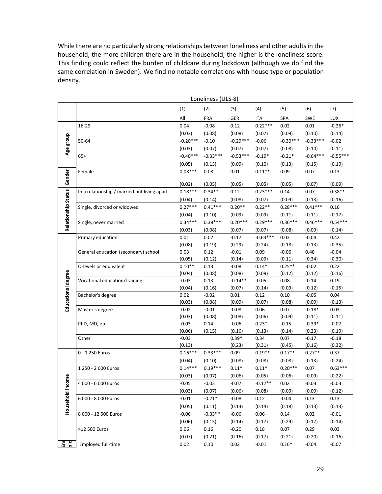While there are no particularly strong relationships between loneliness and other adults in the household, the more children there are in the household, the higher is the loneliness score. This finding could reflect the burden of childcare during lockdown (although we do find the same correlation in Sweden). We find no notable correlations with house type or population density.

|                     | Loneliness (ULS-8)                           |                     |                     |                    |                    |                     |                     |                |
|---------------------|----------------------------------------------|---------------------|---------------------|--------------------|--------------------|---------------------|---------------------|----------------|
|                     |                                              | (1)                 | (2)                 | (3)                | (4)                | (5)                 | (6)                 | (7)            |
|                     |                                              | All                 | <b>FRA</b>          | GER                | <b>ITA</b>         | SPA                 | SWE                 | <b>LUX</b>     |
|                     | 16-29                                        | 0.04                | $-0.08$             | 0.12               | $0.22***$          | 0.02                | 0.01                | $-0.26*$       |
|                     |                                              | (0.03)              | (0.08)              | (0.08)             | (0.07)             | (0.09)              | (0.10)              | (0.14)         |
|                     | 50-64                                        | $-0.20***$          | $-0.10$             | $-0.29***$         | $-0.06$            | $-0.30***$          | $-0.33***$          | $-0.02$        |
| Age group           |                                              | (0.03)              | (0.07)              | (0.07)             | (0.07)             | (0.08)              | (0.10)              | (0.11)         |
|                     | $65+$                                        | $-0.40***$          | $-0.33***$          | $-0.53***$         | $-0.19*$           | $-0.21*$            | $-0.64***$          | $-0.55***$     |
|                     |                                              | (0.05)              | (0.13)              | (0.09)             | (0.10)             | (0.13)              | (0.15)              | (0.19)         |
|                     | Female                                       | $0.08***$           | 0.08                | 0.01               | $0.11**$           | 0.09                | 0.07                | 0.13           |
| Gender              |                                              |                     |                     |                    |                    |                     |                     |                |
|                     |                                              | (0.02)              | (0.05)              | (0.05)             | (0.05)             | (0.05)              | (0.07)              | (0.09)         |
|                     | In a relationship / married but living apart | $0.18***$           | $0.34**$            | 0.12               | $0.23***$          | 0.14                | 0.07                | $0.38**$       |
|                     |                                              | (0.04)<br>$0.27***$ | (0.14)<br>$0.41***$ | (0.08)<br>$0.20**$ | (0.07)<br>$0.22**$ | (0.09)<br>$0.28***$ | (0.13)<br>$0.41***$ | (0.16)         |
|                     | Single, divorced or widowed                  | (0.04)              | (0.10)              | (0.09)             | (0.09)             | (0.11)              | (0.11)              | 0.16<br>(0.17) |
|                     | Single, never married                        | $0.34***$           | $0.38***$           | $0.20***$          | $0.29***$          | $0.36***$           | $0.46***$           | $0.54***$      |
| Relationship Status |                                              | (0.03)              | (0.08)              | (0.07)             | (0.07)             | (0.08)              | (0.09)              | (0.14)         |
|                     | Primary education                            | 0.01                | 0.02                | $-0.17$            | $-0.63***$         | 0.03                | $-0.04$             | 0.42           |
|                     |                                              | (0.08)              | (0.19)              | (0.29)             | (0.24)             | (0.18)              | (0.13)              | (0.35)         |
|                     | General education (secondary) school         | 0.03                | 0.12                | $-0.01$            | 0.09               | $-0.06$             | 0.48                | $-0.04$        |
|                     |                                              | (0.05)              | (0.12)              | (0.14)             | (0.09)             | (0.11)              | (0.34)              | (0.30)         |
|                     | O-levels or equivalent                       | $0.10**$            | 0.13                | $-0.08$            | $0.14*$            | $0.25**$            | $-0.02$             | 0.22           |
|                     |                                              | (0.04)              | (0.08)              | (0.08)             | (0.09)             | (0.12)              | (0.12)              | (0.16)         |
| Educational degree  | Vocational education/training                | $-0.03$             | 0.13                | $-0.14**$          | $-0.05$            | 0.08                | $-0.14$             | 0.19           |
|                     |                                              | (0.04)              | (0.16)              | (0.07)             | (0.14)             | (0.09)              | (0.12)              | (0.15)         |
|                     | Bachelor's degree                            | 0.02                | $-0.02$             | 0.01               | 0.12               | 0.10                | $-0.05$             | 0.04           |
|                     |                                              | (0.03)              | (0.08)              | (0.09)             | (0.07)             | (0.08)              | (0.09)              | (0.13)         |
|                     | Master's degree                              | $-0.02$<br>(0.03)   | $-0.01$<br>(0.08)   | $-0.08$<br>(0.08)  | 0.06<br>(0.06)     | 0.07<br>(0.09)      | $-0.18*$<br>(0.11)  | 0.03<br>(0.11) |
|                     | PhD, MD, etc.                                | $-0.03$             | 0.14                | $-0.06$            | $0.23*$            | $-0.15$             | $-0.39*$            | $-0.07$        |
|                     |                                              | (0.06)              | (0.15)              | (0.16)             | (0.13)             | (0.14)              | (0.23)              | (0.19)         |
|                     | Other                                        | $-0.03$             |                     | $0.39*$            | 0.34               | 0.07                | $-0.17$             | $-0.18$        |
|                     |                                              | (0.13)              |                     | (0.23)             | (0.31)             | (0.45)              | (0.16)              | (0.32)         |
|                     | 0 - 1 250 Euros                              | $0.16***$           | $0.33***$           | 0.09               | $0.19**$           | $0.17**$            | $0.27**$            | 0.37           |
|                     |                                              | (0.04)              | (0.10)              | (0.08)             | (0.08)             | (0.08)              | (0.13)              | (0.24)         |
|                     | 1 250 - 2 000 Euros                          | $0.14***$           | $0.19***$           | $0.11*$            | $0.11*$            | $0.20***$           | 0.07                | $0.63***$      |
| Φ                   |                                              | (0.03)              | (0.07)              | (0.06)             | (0.05)             | (0.06)              | (0.09)              | (0.22)         |
|                     | 4 000 - 6 000 Euros                          | $-0.05$             | $-0.03$             | $-0.07$            | $-0.17**$          | 0.02                | $-0.03$             | $-0.03$        |
|                     |                                              | (0.03)              | (0.07)              | (0.06)             | (0.08)             | (0.09)              | (0.09)              | (0.12)         |
| Household incom     | 6 000 - 8 000 Euros                          | $-0.01$             | $-0.21*$            | $-0.08$            | 0.12               | $-0.04$             | 0.13                | 0.13           |
|                     |                                              | (0.05)              | (0.11)              | (0.13)             | (0.14)             | (0.18)              | (0.13)              | (0.13)         |
|                     | 8 000 - 12 500 Euros                         | $-0.06$             | $-0.33**$           | $-0.06$            | 0.06               | 0.14                | 0.02                | $-0.01$        |
|                     |                                              | (0.06)              | (0.15)              | (0.14)             | (0.17)             | (0.29)              | (0.17)              | (0.14)         |
|                     | >12 500 Euros                                | 0.06                | 0.16                | $-0.20$            | 0.18               | 0.07                | 0.29                | 0.03           |
|                     |                                              | (0.07)              | (0.21)              | (0.16)             | (0.17)             | (0.21)              | (0.20)              | (0.16)         |
| 동을                  | Employed full-time                           | 0.02                | 0.10                | 0.02               | $-0.01$            | $0.16*$             | $-0.04$             | $-0.07$        |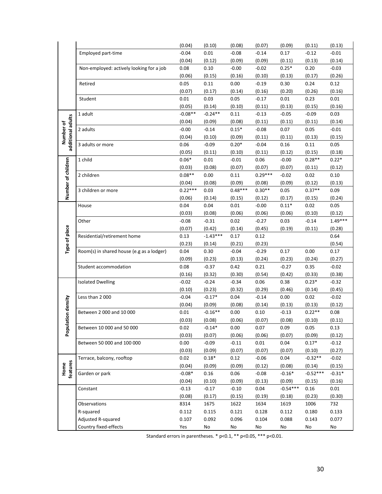|                                |                                           | (0.04)    | (0.10)     | (0.08)    | (0.07)    | (0.09)     | (0.11)     | (0.13)    |
|--------------------------------|-------------------------------------------|-----------|------------|-----------|-----------|------------|------------|-----------|
|                                | Employed part-time                        | $-0.04$   | 0.01       | $-0.08$   | $-0.14$   | 0.17       | $-0.12$    | $-0.01$   |
|                                |                                           | (0.04)    | (0.12)     | (0.09)    | (0.09)    | (0.11)     | (0.13)     | (0.14)    |
|                                | Non-employed: actively looking for a job  | 0.08      | 0.10       | $-0.00$   | $-0.02$   | $0.25*$    | 0.20       | $-0.03$   |
|                                |                                           | (0.06)    | (0.15)     | (0.16)    | (0.10)    | (0.13)     | (0.17)     | (0.26)    |
|                                | Retired                                   | 0.05      | 0.11       | 0.00      | $-0.19$   | 0.30       | 0.24       | 0.12      |
|                                |                                           | (0.07)    | (0.17)     | (0.14)    | (0.16)    | (0.20)     | (0.26)     | (0.16)    |
|                                | Student                                   | 0.01      | 0.03       | 0.05      | $-0.17$   | 0.01       | 0.23       | 0.01      |
|                                |                                           | (0.05)    | (0.14)     | (0.10)    | (0.11)    | (0.13)     | (0.15)     | (0.16)    |
|                                | 1 adult                                   | $-0.08**$ | $-0.24**$  | 0.11      | $-0.13$   | $-0.05$    | $-0.09$    | 0.03      |
|                                |                                           | (0.04)    | (0.09)     | (0.08)    | (0.11)    | (0.11)     | (0.11)     | (0.14)    |
|                                | 2 adults                                  | $-0.00$   | $-0.14$    | $0.15*$   | $-0.08$   | 0.07       | 0.05       | $-0.01$   |
| additional adults<br>Number of |                                           | (0.04)    | (0.10)     | (0.09)    | (0.11)    | (0.11)     | (0.13)     | (0.15)    |
|                                | 3 adults or more                          | 0.06      | $-0.09$    | $0.20*$   | $-0.04$   | 0.16       | 0.11       | 0.05      |
|                                |                                           | (0.05)    | (0.11)     | (0.10)    | (0.11)    | (0.12)     | (0.15)     | (0.18)    |
|                                | 1 child                                   | $0.06*$   | 0.01       | $-0.01$   | 0.06      | $-0.00$    | $0.28**$   | $0.22*$   |
|                                |                                           | (0.03)    | (0.08)     | (0.07)    | (0.07)    | (0.07)     | (0.11)     | (0.12)    |
|                                | 2 children                                | $0.08**$  | 0.00       | 0.11      | $0.29***$ | $-0.02$    | 0.02       | 0.10      |
|                                |                                           | (0.04)    | (0.08)     | (0.09)    | (0.08)    | (0.09)     | (0.12)     | (0.13)    |
| Number of children             | 3 children or more                        | $0.22***$ | 0.03       | $0.48***$ | $0.30**$  | 0.05       | $0.37**$   | 0.09      |
|                                |                                           | (0.06)    | (0.14)     | (0.15)    | (0.12)    | (0.17)     | (0.15)     | (0.24)    |
|                                | House                                     | 0.04      | 0.04       | 0.01      | $-0.00$   | $0.11*$    | 0.02       | 0.05      |
|                                |                                           | (0.03)    | (0.08)     | (0.06)    | (0.06)    | (0.06)     | (0.10)     | (0.12)    |
|                                | Other                                     | $-0.08$   | $-0.31$    | 0.02      | $-0.27$   | 0.03       | $-0.14$    | $1.49***$ |
|                                |                                           | (0.07)    | (0.42)     | (0.14)    | (0.45)    | (0.19)     | (0.11)     | (0.28)    |
| Type of place                  | Residential/retirement home               | 0.13      | $-1.43***$ | 0.17      | 0.12      |            |            | 0.64      |
|                                |                                           | (0.23)    | (0.14)     | (0.21)    | (0.23)    |            |            | (0.54)    |
|                                | Room(s) in shared house (e.g as a lodger) | 0.04      | 0.30       | $-0.04$   | $-0.29$   | 0.17       | 0.00       | 0.17      |
|                                |                                           | (0.09)    | (0.23)     | (0.13)    | (0.24)    | (0.23)     | (0.24)     | (0.27)    |
|                                | Student accommodation                     | 0.08      | $-0.37$    | 0.42      | 0.21      | $-0.27$    | 0.35       | $-0.02$   |
|                                |                                           | (0.16)    | (0.32)     | (0.30)    | (0.54)    | (0.42)     | (0.33)     | (0.38)    |
|                                | <b>Isolated Dwelling</b>                  | $-0.02$   | $-0.24$    | $-0.34$   | 0.06      | 0.38       | $0.23*$    | $-0.32$   |
|                                |                                           | (0.10)    | (0.23)     | (0.32)    | (0.29)    | (0.46)     | (0.14)     | (0.45)    |
|                                | Less than 2000                            | $-0.04$   | $-0.17*$   | 0.04      | $-0.14$   | 0.00       | 0.02       | $-0.02$   |
| tion density                   |                                           | (0.04)    | (0.09)     | (0.08)    | (0.14)    | (0.13)     | (0.13)     | (0.12)    |
|                                | Between 2 000 and 10 000                  | 0.01      | $-0.16**$  | 0.00      | 0.10      | $-0.13$    | $0.22**$   | 0.08      |
|                                |                                           | (0.03)    | (0.08)     | (0.06)    | (0.07)    | (0.08)     | (0.10)     | (0.11)    |
| Populat                        | Between 10 000 and 50 000                 | 0.02      | $-0.14*$   | 0.00      | 0.07      | 0.09       | 0.05       | 0.13      |
|                                |                                           | (0.03)    | (0.07)     | (0.06)    | (0.06)    | (0.07)     | (0.09)     | (0.12)    |
|                                | Between 50 000 and 100 000                | 0.00      | $-0.09$    | $-0.11$   | 0.01      | 0.04       | $0.17*$    | $-0.12$   |
|                                |                                           | (0.03)    | (0.09)     | (0.07)    | (0.07)    | (0.07)     | (0.10)     | (0.27)    |
|                                | Terrace, balcony, rooftop                 | 0.02      | $0.18*$    | 0.12      | $-0.06$   | 0.04       | $-0.32**$  | $-0.02$   |
| features<br>Home               |                                           | (0.04)    | (0.09)     | (0.09)    | (0.12)    | (0.08)     | (0.14)     | (0.15)    |
|                                | Garden or park                            | $-0.08*$  | 0.16       | 0.06      | $-0.08$   | $-0.16*$   | $-0.52***$ | $-0.31*$  |
|                                |                                           | (0.04)    | (0.10)     | (0.09)    | (0.13)    | (0.09)     | (0.15)     | (0.16)    |
|                                | Constant                                  | $-0.13$   | $-0.17$    | $-0.10$   | 0.04      | $-0.54***$ | 0.16       | 0.01      |
|                                |                                           | (0.08)    | (0.17)     | (0.15)    | (0.19)    | (0.18)     | (0.23)     | (0.30)    |
|                                | Observations                              | 8314      | 1675       | 1622      | 1634      | 1619       | 1006       | 732       |
|                                | R-squared                                 | 0.112     | 0.115      | 0.121     | 0.128     | 0.112      | 0.180      | 0.133     |
|                                | Adjusted R-squared                        | 0.107     | 0.092      | 0.096     | 0.104     | 0.088      | 0.143      | 0.077     |
|                                | Country fixed-effects                     | Yes       | No         | No        | No        | No         | No         | No        |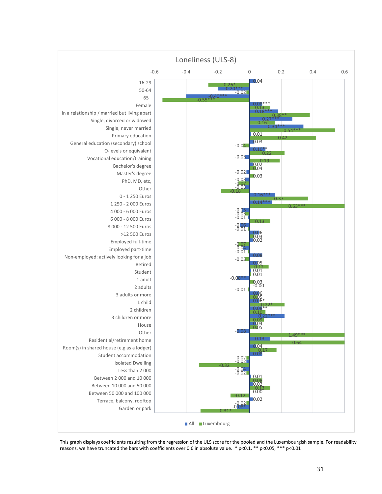

This graph displays coefficients resulting from the regression of the ULS score for the pooled and the Luxembourgish sample. For readability reasons, we have truncated the bars with coefficients over 0.6 in absolute value. \* p<0.1, \*\* p<0.05, \*\*\* p<0.01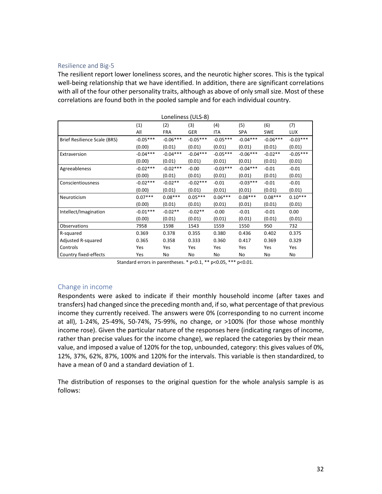#### Resilience and Big‐5

The resilient report lower loneliness scores, and the neurotic higher scores. This is the typical well-being relationship that we have identified. In addition, there are significant correlations with all of the four other personality traits, although as above of only small size. Most of these correlations are found both in the pooled sample and for each individual country.

|                              | Loneliness (ULS-8) |            |            |            |            |            |            |  |
|------------------------------|--------------------|------------|------------|------------|------------|------------|------------|--|
|                              | (1)                | (2)        | (3)        | (4)        | (5)        | (6)        | (7)        |  |
|                              | All                | <b>FRA</b> | GER        | ITA        | <b>SPA</b> | <b>SWE</b> | <b>LUX</b> |  |
| Brief Resilience Scale (BRS) | $-0.05***$         | $-0.06***$ | $-0.05***$ | $-0.05***$ | $-0.04***$ | $-0.06***$ | $-0.03***$ |  |
|                              | (0.00)             | (0.01)     | (0.01)     | (0.01)     | (0.01)     | (0.01)     | (0.01)     |  |
| Extraversion                 | $-0.04***$         | $-0.04***$ | $-0.04***$ | $-0.05***$ | $-0.06***$ | $-0.02**$  | $-0.05***$ |  |
|                              | (0.00)             | (0.01)     | (0.01)     | (0.01)     | (0.01)     | (0.01)     | (0.01)     |  |
| Agreeableness                | $-0.02***$         | $-0.02***$ | $-0.00$    | $-0.03***$ | $-0.04***$ | $-0.01$    | $-0.01$    |  |
|                              | (0.00)             | (0.01)     | (0.01)     | (0.01)     | (0.01)     | (0.01)     | (0.01)     |  |
| Conscientiousness            | $-0.02***$         | $-0.02**$  | $-0.02***$ | $-0.01$    | $-0.03***$ | $-0.01$    | $-0.01$    |  |
|                              | (0.00)             | (0.01)     | (0.01)     | (0.01)     | (0.01)     | (0.01)     | (0.01)     |  |
| Neuroticism                  | $0.07***$          | $0.08***$  | $0.05***$  | $0.06***$  | $0.08***$  | $0.08***$  | $0.10***$  |  |
|                              | (0.00)             | (0.01)     | (0.01)     | (0.01)     | (0.01)     | (0.01)     | (0.01)     |  |
| Intellect/Imagination        | $-0.01***$         | $-0.02**$  | $-0.02**$  | $-0.00$    | $-0.01$    | $-0.01$    | 0.00       |  |
|                              | (0.00)             | (0.01)     | (0.01)     | (0.01)     | (0.01)     | (0.01)     | (0.01)     |  |
| Observations                 | 7958               | 1598       | 1543       | 1559       | 1550       | 950        | 732        |  |
| R-squared                    | 0.369              | 0.378      | 0.355      | 0.380      | 0.436      | 0.402      | 0.375      |  |
| Adjusted R-squared           | 0.365              | 0.358      | 0.333      | 0.360      | 0.417      | 0.369      | 0.329      |  |
| Controls                     | Yes                | Yes        | Yes        | Yes        | Yes        | Yes        | Yes        |  |
| Country fixed-effects        | Yes                | No         | No         | No         | No         | No         | No         |  |

Standard errors in parentheses. \* p<0.1, \*\* p<0.05, \*\*\* p<0.01.

# Change in income

Respondents were asked to indicate if their monthly household income (after taxes and transfers) had changed since the preceding month and, ifso, what percentage of that previous income they currently received. The answers were 0% (corresponding to no current income at all), 1‐24%, 25‐49%, 50‐74%, 75‐99%, no change, or >100% (for those whose monthly income rose). Given the particular nature of the responses here (indicating ranges of income, rather than precise values for the income change), we replaced the categories by their mean value, and imposed a value of 120% for the top, unbounded, category: this gives values of 0%, 12%, 37%, 62%, 87%, 100% and 120% for the intervals. This variable is then standardized, to have a mean of 0 and a standard deviation of 1.

The distribution of responses to the original question for the whole analysis sample is as follows: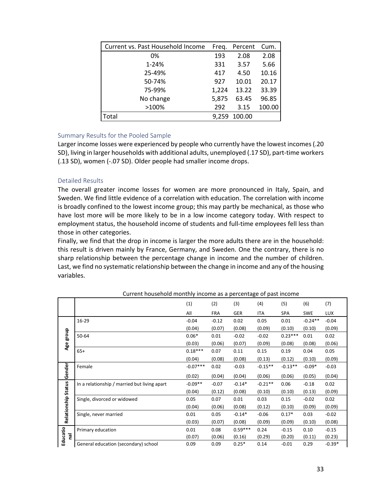| Current vs. Past Household Income | Freg. | Percent | Cum.   |
|-----------------------------------|-------|---------|--------|
| 0%                                | 193   | 2.08    | 2.08   |
| 1-24%                             | 331   | 3.57    | 5.66   |
| 25-49%                            | 417   | 4.50    | 10.16  |
| 50-74%                            | 927   | 10.01   | 20.17  |
| 75-99%                            | 1,224 | 13.22   | 33.39  |
| No change                         | 5,875 | 63.45   | 96.85  |
| >100%                             | 292   | 3.15    | 100.00 |
| Total                             | 9.259 | 100.00  |        |

# Summary Results for the Pooled Sample

Larger income losses were experienced by people who currently have the lowest incomes (.20 SD), living in larger households with additional adults, unemployed (.17 SD), part‐time workers (.13 SD), women (‐.07 SD). Older people had smaller income drops.

# Detailed Results

The overall greater income losses for women are more pronounced in Italy, Spain, and Sweden. We find little evidence of a correlation with education. The correlation with income is broadly confined to the lowest income group; this may partly be mechanical, as those who have lost more will be more likely to be in a low income category today. With respect to employment status, the household income of students and full-time employees fell less than those in other categories.

Finally, we find that the drop in income is larger the more adults there are in the household: this result is driven mainly by France, Germany, and Sweden. One the contrary, there is no sharp relationship between the percentage change in income and the number of children. Last, we find no systematic relationship between the change in income and any of the housing variables.

|                     | Carrent household monthly income as a percentage or past income |            |            |            |           |            |            |            |
|---------------------|-----------------------------------------------------------------|------------|------------|------------|-----------|------------|------------|------------|
|                     |                                                                 | (1)        | (2)        | (3)        | (4)       | (5)        | (6)        | (7)        |
|                     |                                                                 | All        | <b>FRA</b> | <b>GER</b> | ITA       | <b>SPA</b> | <b>SWE</b> | <b>LUX</b> |
|                     | 16-29                                                           | $-0.04$    | $-0.12$    | 0.02       | 0.05      | 0.01       | $-0.24**$  | $-0.04$    |
|                     |                                                                 | (0.04)     | (0.07)     | (0.08)     | (0.09)    | (0.10)     | (0.10)     | (0.09)     |
| Age group           | 50-64                                                           | $0.06*$    | 0.01       | $-0.02$    | $-0.02$   | $0.23***$  | 0.01       | 0.02       |
|                     |                                                                 | (0.03)     | (0.06)     | (0.07)     | (0.09)    | (0.08)     | (0.08)     | (0.06)     |
|                     | $65+$                                                           | $0.18***$  | 0.07       | 0.11       | 0.15      | 0.19       | 0.04       | 0.05       |
|                     |                                                                 | (0.04)     | (0.08)     | (0.08)     | (0.13)    | (0.12)     | (0.10)     | (0.09)     |
|                     | Female                                                          | $-0.07***$ | 0.02       | $-0.03$    | $-0.15**$ | $-0.13**$  | $-0.09*$   | $-0.03$    |
| Gender              |                                                                 | (0.02)     | (0.04)     | (0.04)     | (0.06)    | (0.06)     | (0.05)     | (0.04)     |
|                     | In a relationship / married but living apart                    | $-0.09**$  | $-0.07$    | $-0.14*$   | $-0.21**$ | 0.06       | $-0.18$    | 0.02       |
|                     |                                                                 | (0.04)     | (0.12)     | (0.08)     | (0.10)    | (0.10)     | (0.13)     | (0.09)     |
| Relationship Status | Single, divorced or widowed                                     | 0.05       | 0.07       | 0.01       | 0.03      | 0.15       | $-0.02$    | 0.02       |
|                     |                                                                 | (0.04)     | (0.06)     | (0.08)     | (0.12)    | (0.10)     | (0.09)     | (0.09)     |
|                     | Single, never married                                           | 0.01       | 0.05       | $-0.14*$   | $-0.06$   | $0.17*$    | 0.03       | $-0.02$    |
|                     |                                                                 | (0.03)     | (0.07)     | (0.08)     | (0.09)    | (0.09)     | (0.10)     | (0.08)     |
|                     | Primary education                                               | 0.01       | 0.08       | $0.59***$  | 0.24      | $-0.15$    | 0.10       | $-0.15$    |
| Educatio<br>leu     |                                                                 | (0.07)     | (0.06)     | (0.16)     | (0.29)    | (0.20)     | (0.11)     | (0.23)     |
|                     | General education (secondary) school                            | 0.09       | 0.09       | $0.25*$    | 0.14      | $-0.01$    | 0.29       | $-0.39*$   |

Current household monthly income as a percentage of past income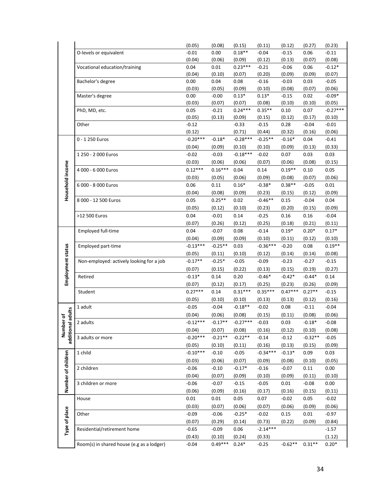|                    |                                           | (0.05)     | (0.08)    | (0.15)                                  | (0.11)               | (0.12)    | (0.27)           | (0.23)     |
|--------------------|-------------------------------------------|------------|-----------|-----------------------------------------|----------------------|-----------|------------------|------------|
|                    | O-levels or equivalent                    | $-0.01$    | 0.00      | $0.18**$                                | $-0.04$              | $-0.15$   | 0.06             | $-0.11$    |
|                    |                                           | (0.04)     | (0.06)    | (0.09)                                  | (0.12)               | (0.13)    | (0.07)           | (0.08)     |
|                    | Vocational education/training             | 0.04       | 0.01      | $0.23***$                               | $-0.21$              | $-0.06$   | 0.06             | $-0.12*$   |
|                    |                                           | (0.04)     | (0.10)    | (0.07)                                  | (0.20)               | (0.09)    | (0.09)           | (0.07)     |
|                    | Bachelor's degree                         | 0.00       | 0.04      | 0.08                                    | $-0.16$              | $-0.03$   | 0.03             | $-0.05$    |
|                    |                                           | (0.03)     | (0.05)    | (0.09)                                  | (0.10)               | (0.08)    | (0.07)           | (0.06)     |
|                    | Master's degree                           | 0.00       | $-0.00$   | $0.13*$                                 | $0.13*$              | $-0.15$   | 0.02             | $-0.09*$   |
|                    |                                           | (0.03)     | (0.07)    | (0.07)                                  | (0.08)               | (0.10)    | (0.10)           | (0.05)     |
|                    | PhD, MD, etc.                             | 0.05       | $-0.21$   | $0.24***$                               | $0.35**$             | 0.10      | 0.07             | $-0.27***$ |
|                    |                                           | (0.05)     | (0.13)    | (0.09)                                  | (0.15)               | (0.12)    | (0.17)           | (0.10)     |
|                    | Other                                     | $-0.12$    |           | $-0.33$                                 | $-0.15$              | 0.28      | $-0.04$          | $-0.01$    |
|                    |                                           | (0.12)     |           | (0.71)                                  | (0.44)               | (0.32)    | (0.16)           | (0.06)     |
|                    | 0 - 1 250 Euros                           | $-0.20***$ | $-0.18*$  | $-0.28***$                              | $-0.25**$            | $-0.16*$  | 0.04             | $-0.41$    |
|                    |                                           | (0.04)     | (0.09)    | (0.10)                                  | (0.10)               | (0.09)    | (0.13)           | (0.33)     |
|                    | 1 250 - 2 000 Euros                       | $-0.02$    | $-0.03$   | $-0.18***$                              | $-0.02$              | 0.07      | 0.03             | 0.03       |
|                    |                                           | (0.03)     | (0.06)    | (0.06)                                  | (0.07)               | (0.06)    | (0.08)           | (0.15)     |
|                    | 4 000 - 6 000 Euros                       | $0.12***$  | $0.16***$ | 0.04                                    | 0.14                 | $0.19**$  | 0.10             | 0.05       |
| Household income   |                                           | (0.03)     | (0.05)    | (0.06)                                  | (0.09)               | (0.08)    | (0.07)           | (0.06)     |
|                    | 6 000 - 8 000 Euros                       | 0.06       | 0.11      | $0.16*$                                 | $-0.38*$             | $0.38**$  | $-0.05$          | 0.01       |
|                    |                                           | (0.04)     | (0.08)    | (0.09)                                  | (0.23)               | (0.15)    | (0.12)           | (0.09)     |
|                    | 8 000 - 12 500 Euros                      | 0.05       | $0.25**$  | 0.02                                    | $-0.46**$            | 0.15      | $-0.04$          | 0.04       |
|                    |                                           | (0.05)     | (0.12)    | (0.10)                                  | (0.23)               | (0.20)    | (0.15)           | (0.09)     |
|                    | >12 500 Euros                             | 0.04       | $-0.01$   | 0.14                                    | $-0.25$              | 0.16      | 0.16             | $-0.04$    |
|                    |                                           | (0.07)     | (0.26)    | (0.12)                                  | (0.25)               | (0.18)    | (0.21)           | (0.11)     |
|                    | Employed full-time                        | 0.04       | $-0.07$   | 0.08                                    | $-0.14$              | $0.19*$   | $0.20*$          | $0.17*$    |
|                    |                                           | (0.04)     | (0.09)    | (0.09)                                  | (0.10)               | (0.11)    | (0.12)           | (0.10)     |
|                    | Employed part-time                        | $-0.13***$ | $-0.25**$ | 0.03                                    | $-0.36***$           | $-0.20$   | 0.08             | $0.19**$   |
| Employment status  |                                           | (0.05)     | (0.11)    | (0.10)                                  | (0.12)               | (0.14)    | (0.14)           | (0.08)     |
|                    | Non-employed: actively looking for a job  | $-0.17**$  | $-0.25*$  | $-0.05$                                 | $-0.09$              | $-0.23$   | $-0.27$          | $-0.15$    |
|                    |                                           | (0.07)     | (0.15)    | (0.22)                                  | (0.13)               | (0.15)    | (0.19)           | (0.27)     |
|                    | Retired                                   | $-0.13*$   | 0.14      | 0.20                                    | $-0.46*$             | $-0.42*$  | $-0.44*$         | 0.14       |
|                    |                                           | (0.07)     | (0.12)    | (0.17)                                  | (0.25)               | (0.23)    | (0.26)           | (0.09)     |
|                    | Student                                   | $0.27***$  | 0.14      | $0.31***$                               | $0.35***$            | $0.47***$ | $0.27**$         | $-0.15$    |
|                    |                                           | (0.05)     | (0.10)    | (0.10)                                  | (0.13)               | (0.13)    | (0.12)           | (0.16)     |
|                    | 1 adult                                   | $-0.05$    | $-0.04$   | $-0.18**$                               | $-0.02$              | 0.08      | $-0.11$          | $-0.04$    |
| adults             |                                           | (0.04)     | (0.06)    | (0.08)                                  | (0.15)               | (0.11)    | (0.08)           | (0.06)     |
| rof                | 2 adults                                  |            |           | $-0.12***$ $-0.17**$ $-0.27***$ $-0.03$ |                      | 0.03      | $-0.18*$ $-0.08$ |            |
| Number             |                                           | (0.04)     | (0.07)    | (0.08)                                  | (0.16)               | (0.12)    | (0.10)           | (0.08)     |
| additional         | 3 adults or more                          | $-0.20***$ | $-0.21**$ | $-0.22**$                               | $-0.14$              | $-0.12$   | $-0.32**$        | $-0.05$    |
|                    |                                           | (0.05)     | (0.10)    | (0.11)                                  | (0.16)               | (0.13)    | (0.15)           | (0.09)     |
|                    | 1 child                                   | $-0.10***$ | $-0.10$   | $-0.05$                                 | $-0.34***$           | $-0.13*$  | 0.09             | 0.03       |
| Number of children |                                           | (0.03)     | (0.06)    | (0.07)                                  | (0.09)               | (0.08)    | (0.10)           | (0.05)     |
|                    | 2 children                                | $-0.06$    | $-0.10$   | $-0.17*$                                | $-0.16$              | $-0.07$   | 0.11             | 0.00       |
|                    |                                           | (0.04)     | (0.07)    | (0.09)                                  | (0.10)               | (0.09)    | (0.11)           | (0.10)     |
|                    | 3 children or more                        | $-0.06$    | $-0.07$   | $-0.15$                                 | $-0.05$              | 0.01      | $-0.08$          | 0.00       |
|                    |                                           | (0.06)     | (0.09)    | (0.16)                                  | (0.17)               | (0.16)    | (0.15)           | (0.11)     |
|                    | House                                     | 0.01       | 0.01      | 0.05                                    | 0.07                 | $-0.02$   | 0.05             | $-0.02$    |
|                    |                                           | (0.03)     | (0.07)    | (0.06)                                  | (0.07)               | (0.06)    | (0.09)           | (0.06)     |
|                    | Other                                     | $-0.09$    | $-0.06$   | $-0.25*$                                | $-0.02$              | 0.15      | 0.01             | $-0.97$    |
|                    |                                           | (0.07)     | (0.29)    |                                         |                      | (0.22)    | (0.09)           |            |
| Type of place      |                                           |            |           | (0.14)                                  | (0.73)<br>$-2.14***$ |           |                  | (0.84)     |
|                    | Residential/retirement home               | $-0.65$    | $-0.09$   | 0.06                                    |                      |           |                  | $-1.57$    |
|                    |                                           | (0.43)     | (0.10)    | (0.24)                                  | (0.33)               |           |                  | (1.12)     |
|                    | Room(s) in shared house (e.g as a lodger) | $-0.04$    | $0.49***$ | $0.24*$                                 | $-0.25$              | $-0.62**$ | $0.31**$         | $0.20*$    |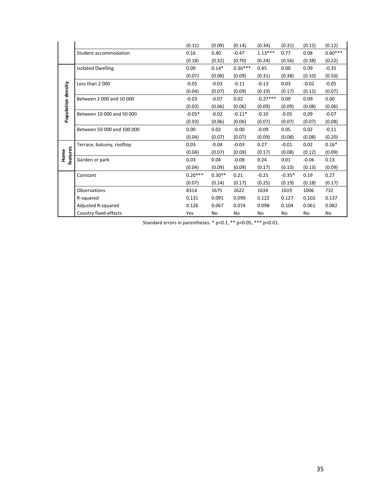|                    |                            | (0.11)    | (0.09)   | (0.14)    | (0.34)     | (0.31)   | (0.15)  | (0.12)    |
|--------------------|----------------------------|-----------|----------|-----------|------------|----------|---------|-----------|
|                    | Student accommodation      | 0.16      | 0.40     | $-0.47$   | $1.13***$  | 0.77     | 0.08    | $0.60***$ |
|                    |                            | (0.18)    | (0.32)   | (0.70)    | (0.24)     | (0.56)   | (0.38)  | (0.22)    |
|                    | <b>Isolated Dwelling</b>   | 0.09      | $0.14*$  | $0.36***$ | 0.45       | 0.00     | 0.09    | $-0.35$   |
|                    |                            | (0.07)    | (0.08)   | (0.09)    | (0.31)     | (0.38)   | (0.10)  | (0.50)    |
|                    | Less than 2000             | $-0.05$   | $-0.03$  | $-0.11$   | $-0.13$    | 0.03     | $-0.02$ | $-0.05$   |
|                    |                            | (0.04)    | (0.07)   | (0.09)    | (0.19)     | (0.17)   | (0.12)  | (0.07)    |
|                    | Between 2000 and 10000     | $-0.03$   | $-0.07$  | 0.02      | $-0.27***$ | 0.09     | 0.09    | 0.00      |
| Population density |                            | (0.03)    | (0.06)   | (0.06)    | (0.09)     | (0.09)   | (0.08)  | (0.06)    |
|                    | Between 10 000 and 50 000  | $-0.05*$  | $-0.02$  | $-0.11*$  | $-0.10$    | $-0.05$  | 0.09    | $-0.07$   |
|                    |                            | (0.03)    | (0.06)   | (0.06)    | (0.07)     | (0.07)   | (0.07)  | (0.08)    |
|                    | Between 50 000 and 100 000 | 0.00      | 0.02     | $-0.00$   | $-0.09$    | 0.05     | 0.02    | $-0.11$   |
|                    |                            | (0.04)    | (0.07)   | (0.07)    | (0.09)     | (0.08)   | (0.08)  | (0.20)    |
|                    | Terrace, balcony, rooftop  | 0.03      | $-0.04$  | $-0.03$   | 0.27       | $-0.01$  | 0.02    | $0.16*$   |
| Home               |                            | (0.04)    | (0.07)   | (0.09)    | (0.17)     | (0.08)   | (0.12)  | (0.09)    |
| features           | Garden or park             | 0.03      | 0.04     | $-0.08$   | 0.24       | 0.01     | $-0.06$ | 0.13      |
|                    |                            | (0.04)    | (0.09)   | (0.09)    | (0.17)     | (0.10)   | (0.13)  | (0.09)    |
|                    | Constant                   | $0.20***$ | $0.30**$ | 0.21      | $-0.25$    | $-0.35*$ | 0.19    | 0.27      |
|                    |                            | (0.07)    | (0.14)   | (0.17)    | (0.25)     | (0.19)   | (0.18)  | (0.17)    |
|                    | Observations               | 8314      | 1675     | 1622      | 1634       | 1619     | 1006    | 732       |
|                    | R-squared                  | 0.131     | 0.091    | 0.099     | 0.122      | 0.127    | 0.102   | 0.137     |
|                    | Adjusted R-squared         | 0.126     | 0.067    | 0.074     | 0.098      | 0.104    | 0.061   | 0.082     |
|                    | Country fixed-effects      | Yes       | No       | No        | No         | No       | No      | No        |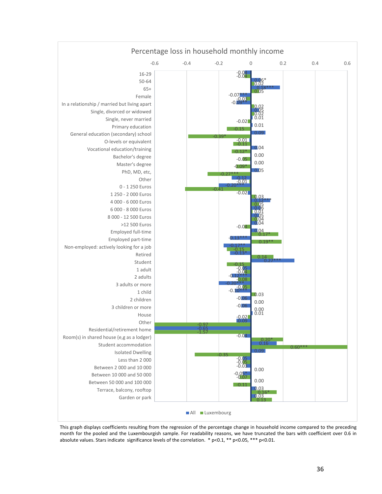

This graph displays coefficients resulting from the regression of the percentage change in household income compared to the preceding month for the pooled and the Luxembourgish sample. For readability reasons, we have truncated the bars with coefficient over 0.6 in absolute values. Stars indicate significance levels of the correlation.  $*$  p<0.1,  $*$  p<0.05,  $***$  p<0.01.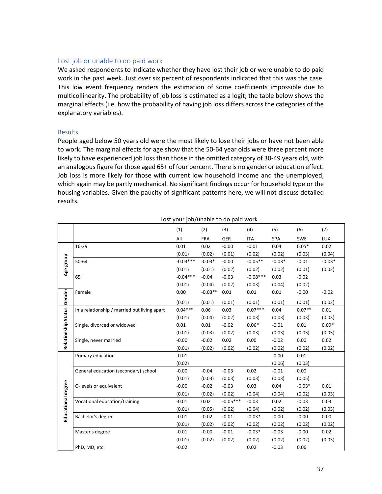# Lost job or unable to do paid work

We asked respondents to indicate whether they have lost their job or were unable to do paid work in the past week. Just over six percent of respondents indicated that this was the case. This low event frequency renders the estimation of some coefficients impossible due to multicollinearity. The probability of job loss is estimated as a logit; the table below shows the marginal effects (i.e. how the probability of having job loss differs across the categories of the explanatory variables).

#### **Results**

People aged below 50 years old were the most likely to lose their jobs or have not been able to work. The marginal effects for age show that the 50‐64 year olds were three percent more likely to have experienced job loss than those in the omitted category of 30‐49 years old, with an analogous figure for those aged 65+ of four percent. There is no gender or education effect. Job loss is more likely for those with current low household income and the unemployed, which again may be partly mechanical. No significant findings occur for household type or the housing variables. Given the paucity of significant patterns here, we will not discuss detailed results.

Lost your job/unable to do paid work

| (1)<br>(2)<br>(3)<br>(4)<br>(5)                                                                | (6)<br>(7)                      |  |
|------------------------------------------------------------------------------------------------|---------------------------------|--|
| All<br>GER<br><b>FRA</b><br><b>ITA</b><br>SPA                                                  | LUX<br>SWE                      |  |
| 16-29<br>0.01<br>0.02<br>$-0.00$<br>$-0.01$<br>0.04                                            | $0.05*$<br>0.02                 |  |
|                                                                                                |                                 |  |
| (0.01)<br>(0.01)<br>(0.02)<br>(0.02)                                                           | (0.04)<br>(0.02)<br>(0.03)      |  |
| $-0.03***$<br>$-0.03*$<br>$-0.05**$<br>50-64<br>$-0.00$                                        | $-0.03*$<br>$-0.03*$<br>$-0.01$ |  |
| Age group<br>(0.01)<br>(0.01)<br>(0.02)<br>(0.02)                                              | (0.02)<br>(0.01)<br>(0.02)      |  |
| $-0.04***$<br>$-0.08***$<br>$65+$<br>$-0.03$<br>0.03<br>$-0.04$                                | $-0.02$                         |  |
| (0.01)<br>(0.04)<br>(0.02)<br>(0.03)                                                           | (0.04)<br>(0.02)                |  |
| $-0.03**$<br>Female<br>0.00<br>0.01<br>0.01<br>0.01                                            | $-0.02$<br>$-0.00$              |  |
| Gender<br>(0.01)<br>(0.01)<br>(0.01)<br>(0.01)                                                 | (0.01)<br>(0.01)<br>(0.02)      |  |
| $0.07***$<br>$0.04***$<br>0.06<br>0.03<br>0.04<br>In a relationship / married but living apart | $0.07**$<br>0.01                |  |
| Relationship Status<br>(0.01)<br>(0.02)<br>(0.03)<br>(0.04)                                    | (0.03)<br>(0.03)<br>(0.03)      |  |
| 0.01<br>$-0.02$<br>$0.06*$<br>Single, divorced or widowed<br>0.01                              | $0.09*$<br>$-0.01$<br>0.01      |  |
| (0.01)<br>(0.03)<br>(0.02)<br>(0.03)                                                           | (0.03)<br>(0.03)<br>(0.05)      |  |
| $-0.00$<br>$-0.02$<br>0.02<br>0.00<br>Single, never married                                    | 0.00<br>0.02<br>$-0.02$         |  |
| (0.01)<br>(0.02)<br>(0.02)<br>(0.02)                                                           | (0.02)<br>(0.02)<br>(0.02)      |  |
| Primary education<br>$-0.01$                                                                   | $-0.00$<br>0.01                 |  |
| (0.02)                                                                                         | (0.06)<br>(0.03)                |  |
| General education (secondary) school<br>$-0.00$<br>$-0.04$<br>$-0.03$<br>0.02                  | $-0.01$<br>0.00                 |  |
| (0.01)<br>(0.03)<br>(0.03)<br>(0.03)                                                           | (0.03)<br>(0.05)                |  |
| $-0.00$<br>$-0.02$<br>$-0.03$<br>0.03<br>0.04<br>O-levels or equivalent                        | $-0.03*$<br>0.01                |  |
| Educational degree<br>(0.02)<br>(0.01)<br>(0.02)<br>(0.04)                                     | (0.04)<br>(0.02)<br>(0.03)      |  |
| $-0.05***$<br>Vocational education/training<br>$-0.01$<br>0.02<br>0.02<br>$-0.03$              | $-0.03$<br>0.03                 |  |
| (0.01)<br>(0.05)<br>(0.02)<br>(0.04)                                                           | (0.02)<br>(0.02)<br>(0.03)      |  |
| $-0.01$<br>$-0.03*$<br>$-0.02$<br>$-0.01$<br>Bachelor's degree                                 | $-0.00$<br>0.00<br>$-0.00$      |  |
| (0.01)<br>(0.02)<br>(0.02)<br>(0.02)                                                           | (0.02)<br>(0.02)<br>(0.02)      |  |
| $-0.01$<br>$-0.01$<br>$-0.03*$<br>Master's degree<br>$-0.00$                                   | 0.02<br>$-0.03$<br>$-0.00$      |  |
| (0.01)<br>(0.02)<br>(0.02)<br>(0.02)                                                           |                                 |  |
|                                                                                                | (0.03)<br>(0.02)<br>(0.02)      |  |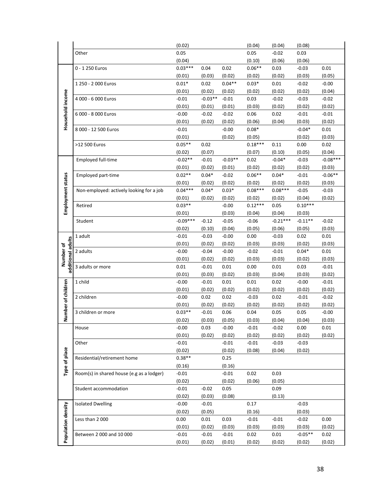|                                |                                           | (0.02)            |                   |                | (0.04)         | (0.04)         | (0.08)            |                   |
|--------------------------------|-------------------------------------------|-------------------|-------------------|----------------|----------------|----------------|-------------------|-------------------|
|                                | Other                                     | 0.05              |                   |                | 0.05           | $-0.02$        | 0.03              |                   |
|                                |                                           | (0.04)            |                   |                | (0.10)         | (0.06)         | (0.06)            |                   |
|                                | 0 - 1 250 Euros                           | $0.03***$         | 0.04              | 0.02           | $0.06**$       | 0.03           | $-0.03$           | 0.01              |
|                                |                                           | (0.01)            | (0.03)            | (0.02)         | (0.02)         | (0.02)         | (0.03)            | (0.05)            |
|                                | 1 250 - 2 000 Euros                       | $0.01*$           | 0.02              | $0.04**$       | $0.03*$        | 0.01           | $-0.02$           | $-0.00$           |
|                                |                                           | (0.01)            | (0.02)            | (0.02)         | (0.02)         | (0.02)         | (0.02)            | (0.04)            |
|                                | 4 000 - 6 000 Euros                       | $-0.01$           | $-0.03**$         | $-0.01$        | 0.03           | $-0.02$        | $-0.03$           | $-0.02$           |
|                                |                                           | (0.01)            | (0.01)            | (0.01)         | (0.03)         | (0.02)         | (0.02)            | (0.02)            |
| Household income               | 6 000 - 8 000 Euros                       | $-0.00$           | $-0.02$           | $-0.02$        | 0.06           | 0.02           | $-0.01$           | $-0.01$           |
|                                |                                           | (0.01)            | (0.02)            | (0.02)         | (0.06)         | (0.04)         | (0.03)            | (0.02)            |
|                                | 8 000 - 12 500 Euros                      | $-0.01$           |                   | $-0.00$        | $0.08*$        |                | $-0.04*$          | 0.01              |
|                                |                                           | (0.01)            |                   | (0.02)         | (0.05)         |                | (0.02)            | (0.03)            |
|                                | >12 500 Euros                             | $0.05**$          | 0.02              |                | $0.18***$      | 0.11           | 0.00              | 0.02              |
|                                |                                           | (0.02)            | (0.07)            |                | (0.07)         | (0.10)         | (0.05)            | (0.04)            |
|                                | <b>Employed full-time</b>                 | $-0.02**$         | $-0.01$           | $-0.03**$      | 0.02           | $-0.04*$       | $-0.03$           | $-0.08***$        |
|                                |                                           | (0.01)            | (0.02)            | (0.01)         | (0.02)         | (0.02)         | (0.02)            | (0.03)            |
|                                | Employed part-time                        | $0.02**$          | $0.04*$           | $-0.02$        | $0.06**$       | $0.04*$        | $-0.01$           | $-0.06**$         |
|                                |                                           | (0.01)            | (0.02)            | (0.02)         | (0.02)         | (0.02)         | (0.02)            | (0.03)            |
|                                | Non-employed: actively looking for a job  | $0.04***$         | $0.04*$           | $0.03*$        | $0.08***$      | $0.08***$      | $-0.05$           | $-0.03$           |
|                                |                                           | (0.01)            | (0.02)            | (0.02)         | (0.02)         | (0.02)         | (0.04)            | (0.02)            |
| Employment status              | Retired                                   | $0.03**$          |                   | $-0.00$        | $0.12***$      | 0.05           | $0.10***$         |                   |
|                                |                                           | (0.01)            |                   | (0.03)         | (0.04)         | (0.04)         | (0.03)            |                   |
|                                | Student                                   | $-0.09***$        | $-0.12$           | $-0.05$        | $-0.06$        | $-0.21***$     | $-0.11**$         | $-0.02$           |
|                                |                                           | (0.02)            | (0.10)            | (0.04)         | (0.05)         | (0.06)         | (0.05)            | (0.03)            |
|                                | 1 adult                                   | $-0.01$           | $-0.03$           | $-0.00$        | 0.00           | $-0.03$        | 0.02              | 0.01              |
| additional adults<br>Number of |                                           | (0.01)            | (0.02)            | (0.02)         | (0.03)         | (0.03)         | (0.02)            | (0.03)            |
|                                | 2 adults                                  | $-0.00$           | $-0.04$           | $-0.00$        | $-0.02$        | $-0.01$        | $0.04*$           | 0.01              |
|                                |                                           | (0.01)            | (0.02)            | (0.02)         | (0.03)         | (0.03)         | (0.02)            | (0.03)            |
|                                | 3 adults or more                          | 0.01              | $-0.01$           | 0.01           | 0.00           | 0.01           | 0.03              | $-0.01$           |
|                                | 1 child                                   | (0.01)<br>$-0.00$ | (0.03)<br>$-0.01$ | (0.02)<br>0.01 | (0.03)<br>0.01 | (0.04)<br>0.02 | (0.03)<br>$-0.00$ | (0.02)<br>$-0.01$ |
|                                |                                           | (0.01)            | (0.02)            | (0.02)         | (0.02)         | (0.02)         | (0.02)            | (0.02)            |
| Number of children             | 2 children                                | $-0.00$           | 0.02              | 0.02           | $-0.03$        | 0.02           | $-0.01$           | $-0.02$           |
|                                |                                           | (0.01)            | (0.02)            | (0.02)         | (0.02)         | (0.02)         | (0.02)            | (0.02)            |
|                                | 3 children or more                        | $0.03**$          | $-0.01$           | 0.06           | 0.04           | 0.05           | 0.05              | $-0.00$           |
|                                |                                           | (0.02)            | (0.03)            | (0.05)         | (0.03)         | (0.04)         | (0.04)            | (0.03)            |
|                                | House                                     | $-0.00$           | 0.03              | $-0.00$        | $-0.01$        | $-0.02$        | 0.00              | 0.01              |
|                                |                                           | (0.01)            | (0.02)            | (0.02)         | (0.02)         | (0.02)         | (0.02)            | (0.02)            |
|                                | Other                                     | $-0.01$           |                   | $-0.01$        | $-0.01$        | $-0.03$        | $-0.03$           |                   |
|                                |                                           | (0.02)            |                   | (0.02)         | (0.08)         | (0.04)         | (0.02)            |                   |
| Type of place                  | Residential/retirement home               | $0.38**$          |                   | 0.25           |                |                |                   |                   |
|                                |                                           | (0.16)            |                   | (0.16)         |                |                |                   |                   |
|                                | Room(s) in shared house (e.g as a lodger) | $-0.01$           |                   | $-0.01$        | 0.02           | 0.03           |                   |                   |
|                                |                                           | (0.02)            |                   | (0.02)         | (0.06)         | (0.05)         |                   |                   |
|                                | Student accommodation                     | $-0.01$           | $-0.02$           | 0.05           |                | 0.09           |                   |                   |
|                                |                                           | (0.02)            | (0.03)            | (0.08)         |                | (0.13)         |                   |                   |
|                                | <b>Isolated Dwelling</b>                  | $-0.00$           | $-0.01$           |                | 0.17           |                | $-0.03$           |                   |
|                                |                                           | (0.02)            | (0.05)            |                | (0.16)         |                | (0.03)            |                   |
|                                | Less than 2000                            | 0.00              | 0.01              | 0.03           | $-0.01$        | $-0.01$        | $-0.02$           | 0.00              |
| Population density             |                                           | (0.01)            | (0.02)            | (0.03)         | (0.03)         | (0.03)         | (0.03)            | (0.02)            |
|                                | Between 2 000 and 10 000                  | $-0.01$           | $-0.01$           | $-0.01$        | 0.02           | 0.01           | $-0.05**$         | 0.02              |
|                                |                                           | (0.01)            | (0.02)            | (0.01)         | (0.02)         | (0.02)         | (0.02)            | (0.02)            |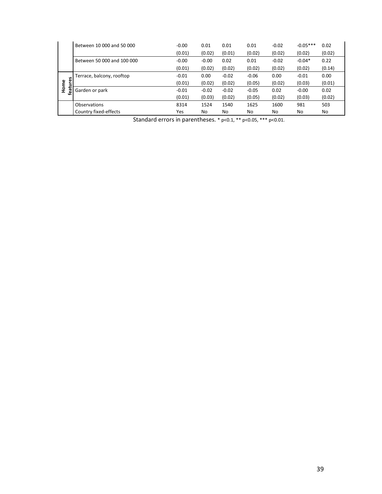|                | Between 10 000 and 50 000  | $-0.00$ | 0.01    | 0.01    | 0.01    | $-0.02$ | $-0.05***$ | 0.02   |
|----------------|----------------------------|---------|---------|---------|---------|---------|------------|--------|
|                |                            | (0.01)  | (0.02)  | (0.01)  | (0.02)  | (0.02)  | (0.02)     | (0.02) |
|                | Between 50 000 and 100 000 | $-0.00$ | $-0.00$ | 0.02    | 0.01    | $-0.02$ | $-0.04*$   | 0.22   |
|                |                            | (0.01)  | (0.02)  | (0.02)  | (0.02)  | (0.02)  | (0.02)     | (0.14) |
|                | Terrace, balcony, rooftop  | $-0.01$ | 0.00    | $-0.02$ | $-0.06$ | 0.00    | $-0.01$    | 0.00   |
| 5<br>Home<br>з |                            | (0.01)  | (0.02)  | (0.02)  | (0.05)  | (0.02)  | (0.03)     | (0.01) |
| ea.            | Garden or park             | $-0.01$ | $-0.02$ | $-0.02$ | $-0.05$ | 0.02    | $-0.00$    | 0.02   |
|                |                            | (0.01)  | (0.03)  | (0.02)  | (0.05)  | (0.02)  | (0.03)     | (0.02) |
|                | Observations               | 8314    | 1524    | 1540    | 1625    | 1600    | 981        | 503    |
|                | Country fixed-effects      | Yes     | No      | No      | No      | No      | No         | No     |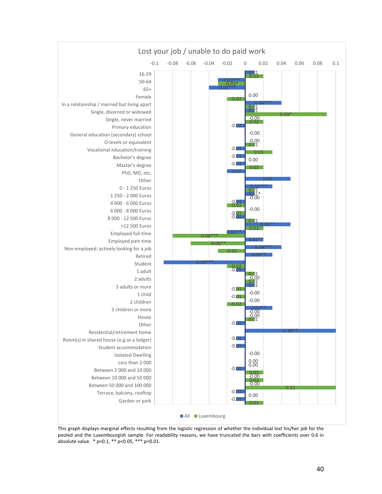

This graph displays marginal effects resulting from the logistic regression of whether the individual lost his/her job for the pooled and the Luxembourgish sample. For readability reasons, we have truncated the bars with coefficients over 0.6 in absolute value. \* p<0.1, \*\* p<0.05, \*\*\* p<0.01.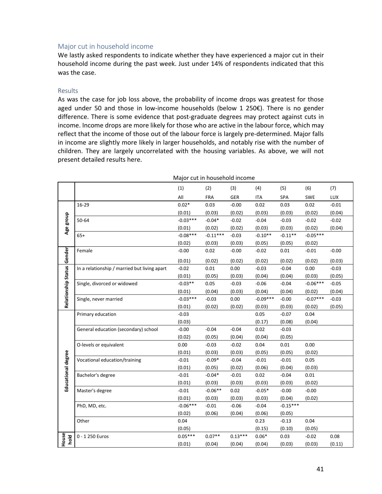# Major cut in household income

We lastly asked respondents to indicate whether they have experienced a major cut in their household income during the past week. Just under 14% of respondents indicated that this was the case.

#### Results

As was the case for job loss above, the probability of income drops was greatest for those aged under 50 and those in low-income households (below 1 250 $\epsilon$ ). There is no gender difference. There is some evidence that post‐graduate degrees may protect against cuts in income. Income drops are more likely for those who are active in the labour force, which may reflect that the income of those out of the labour force is largely pre-determined. Major falls in income are slightly more likely in larger households, and notably rise with the number of children. They are largely uncorrelated with the housing variables. As above, we will not present detailed results here.

|                            |                                              | Major cut in household income |            |            |            |            |            |         |
|----------------------------|----------------------------------------------|-------------------------------|------------|------------|------------|------------|------------|---------|
|                            |                                              | (1)                           | (2)        | (3)        | (4)        | (5)        | (6)        | (7)     |
|                            |                                              | All                           | <b>FRA</b> | <b>GER</b> | <b>ITA</b> | SPA        | <b>SWE</b> | LUX     |
|                            | 16-29                                        | $0.02*$                       | 0.03       | $-0.00$    | 0.02       | 0.03       | 0.02       | $-0.01$ |
|                            |                                              | (0.01)                        | (0.03)     | (0.02)     | (0.03)     | (0.03)     | (0.02)     | (0.04)  |
| Age group                  | 50-64                                        | $-0.03***$                    | $-0.04*$   | $-0.02$    | $-0.04$    | $-0.03$    | $-0.02$    | $-0.02$ |
|                            |                                              | (0.01)                        | (0.02)     | (0.02)     | (0.03)     | (0.03)     | (0.02)     | (0.04)  |
|                            | $65+$                                        | $-0.08***$                    | $-0.11***$ | $-0.03$    | $-0.10**$  | $-0.11**$  | $-0.05***$ |         |
|                            |                                              | (0.02)                        | (0.03)     | (0.03)     | (0.05)     | (0.05)     | (0.02)     |         |
|                            | Female                                       | $-0.00$                       | 0.02       | $-0.00$    | $-0.02$    | 0.01       | $-0.01$    | $-0.00$ |
| Relationship Status Gender |                                              | (0.01)                        | (0.02)     | (0.02)     | (0.02)     | (0.02)     | (0.02)     | (0.03)  |
|                            | In a relationship / married but living apart | $-0.02$                       | 0.01       | 0.00       | $-0.03$    | $-0.04$    | 0.00       | $-0.03$ |
|                            |                                              | (0.01)                        | (0.05)     | (0.03)     | (0.04)     | (0.04)     | (0.03)     | (0.05)  |
|                            | Single, divorced or widowed                  | $-0.03**$                     | 0.05       | $-0.03$    | $-0.06$    | $-0.04$    | $-0.06***$ | $-0.05$ |
|                            |                                              | (0.01)                        | (0.04)     | (0.03)     | (0.04)     | (0.04)     | (0.02)     | (0.04)  |
|                            | Single, never married                        | $-0.03***$                    | $-0.03$    | 0.00       | $-0.09***$ | $-0.00$    | $-0.07***$ | $-0.03$ |
|                            |                                              | (0.01)                        | (0.02)     | (0.02)     | (0.03)     | (0.03)     | (0.02)     | (0.05)  |
|                            | Primary education                            | $-0.03$                       |            |            | 0.05       | $-0.07$    | 0.04       |         |
|                            |                                              | (0.03)                        |            |            | (0.17)     | (0.08)     | (0.04)     |         |
|                            | General education (secondary) school         | $-0.00$                       | $-0.04$    | $-0.04$    | 0.02       | $-0.03$    |            |         |
|                            |                                              | (0.02)                        | (0.05)     | (0.04)     | (0.04)     | (0.05)     |            |         |
|                            | O-levels or equivalent                       | 0.00                          | $-0.03$    | $-0.02$    | 0.04       | 0.01       | 0.00       |         |
|                            |                                              | (0.01)                        | (0.03)     | (0.03)     | (0.05)     | (0.05)     | (0.02)     |         |
| Educational degree         | Vocational education/training                | $-0.01$                       | $-0.09*$   | $-0.04$    | $-0.01$    | $-0.01$    | 0.05       |         |
|                            |                                              | (0.01)                        | (0.05)     | (0.02)     | (0.06)     | (0.04)     | (0.03)     |         |
|                            | Bachelor's degree                            | $-0.01$                       | $-0.04*$   | $-0.01$    | 0.02       | $-0.04$    | 0.01       |         |
|                            |                                              | (0.01)                        | (0.03)     | (0.03)     | (0.03)     | (0.03)     | (0.02)     |         |
|                            | Master's degree                              | $-0.01$                       | $-0.06**$  | 0.02       | $-0.05*$   | $-0.00$    | $-0.00$    |         |
|                            |                                              | (0.01)                        | (0.03)     | (0.03)     | (0.03)     | (0.04)     | (0.02)     |         |
|                            | PhD, MD, etc.                                | $-0.06***$                    | $-0.01$    | $-0.06$    | $-0.04$    | $-0.15***$ |            |         |
|                            |                                              | (0.02)                        | (0.06)     | (0.04)     | (0.06)     | (0.05)     |            |         |
|                            | Other                                        | 0.04                          |            |            | 0.23       | $-0.13$    | 0.04       |         |
|                            |                                              | (0.05)                        |            |            | (0.15)     | (0.10)     | (0.05)     |         |
| House<br>hold              | 0 - 1 250 Euros                              | $0.05***$                     | $0.07**$   | $0.13***$  | $0.06*$    | 0.03       | $-0.02$    | 0.08    |
|                            |                                              | (0.01)                        | (0.04)     | (0.04)     | (0.04)     | (0.03)     | (0.03)     | (0.11)  |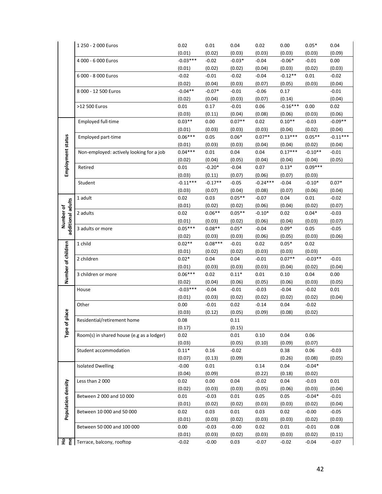|                                | 1 250 - 2 000 Euros                       | 0.02                | 0.01           | 0.04              | 0.02           | 0.00               | $0.05*$        | 0.04              |
|--------------------------------|-------------------------------------------|---------------------|----------------|-------------------|----------------|--------------------|----------------|-------------------|
|                                |                                           | (0.01)              | (0.02)         | (0.03)            | (0.03)         | (0.03)             | (0.03)         | (0.09)            |
|                                | 4 000 - 6 000 Euros                       | $-0.03***$          | $-0.02$        | $-0.03*$          | $-0.04$        | $-0.06*$           | $-0.01$        | 0.00              |
|                                |                                           | (0.01)              | (0.02)         | (0.02)            | (0.04)         | (0.03)             | (0.02)         | (0.03)            |
|                                | 6 000 - 8 000 Euros                       | $-0.02$             | $-0.01$        | $-0.02$           | $-0.04$        | $-0.12**$          | 0.01           | $-0.02$           |
|                                |                                           | (0.02)              | (0.04)         | (0.03)            | (0.07)         | (0.05)             | (0.03)         | (0.04)            |
|                                | 8 000 - 12 500 Euros                      | $-0.04**$           | $-0.07*$       | $-0.01$           | $-0.06$        | 0.17               |                | $-0.01$           |
|                                |                                           | (0.02)              | (0.04)         | (0.03)            | (0.07)         | (0.14)             |                | (0.04)            |
|                                | >12 500 Euros                             | 0.01                | 0.17           | $-0.01$           | 0.06           | $-0.16***$         | 0.00           | 0.02              |
|                                |                                           | (0.03)              | (0.11)         | (0.04)            | (0.08)         | (0.06)             | (0.03)         | (0.06)            |
|                                | Employed full-time                        | $0.03**$            | 0.00           | $0.07**$          | 0.02           | $0.10**$           | $-0.03$        | $-0.09**$         |
|                                |                                           | (0.01)              | (0.03)         | (0.03)            | (0.03)         | (0.04)             | (0.02)         | (0.04)            |
| Employment status              | Employed part-time                        | $0.06***$           | 0.05           | $0.06*$           | $0.07**$       | $0.13***$          | $0.05**$       | $-0.11***$        |
|                                |                                           | (0.01)              | (0.03)         | (0.03)            | (0.04)         | (0.04)             | (0.02)         | (0.04)            |
|                                | Non-employed: actively looking for a job  | $0.04***$           | 0.01           | 0.04              | 0.04           | $0.17***$          | $-0.10**$      | $-0.01$           |
|                                |                                           | (0.02)              | (0.04)         | (0.05)            | (0.04)         | (0.04)             | (0.04)         | (0.05)            |
|                                | Retired                                   | 0.01                | $-0.20*$       | $-0.04$           | 0.07           | $0.13*$            | $0.09***$      |                   |
|                                |                                           | (0.03)              | (0.11)         | (0.07)            | (0.06)         | (0.07)             | (0.03)         |                   |
|                                | Student                                   | $-0.11***$          | $-0.17**$      | $-0.05$           | $-0.24***$     | $-0.04$            | $-0.10*$       | $0.07*$           |
|                                |                                           | (0.03)              | (0.07)         | (0.04)            | (0.08)         | (0.07)             | (0.06)         | (0.04)            |
|                                | 1 adult                                   | 0.02                | 0.03           | $0.05**$          | $-0.07$        | 0.04               | 0.01           | $-0.02$           |
| additional adults<br>Number of |                                           | (0.01)              | (0.02)         | (0.02)            | (0.06)         | (0.04)             | (0.02)         | (0.07)            |
|                                | 2 adults                                  | 0.02                | $0.06**$       | $0.05**$          | $-0.10*$       | 0.02               | $0.04*$        | $-0.03$           |
|                                |                                           | (0.01)              | (0.03)         | (0.02)            | (0.06)         | (0.04)             | (0.03)         | (0.07)            |
|                                | 3 adults or more                          | $0.05***$           | $0.08**$       | $0.05*$           | $-0.04$        | $0.09*$            | 0.05           | $-0.05$           |
|                                |                                           | (0.02)              | (0.03)         | (0.03)            | (0.06)         | (0.05)             | (0.03)         | (0.06)            |
|                                | 1 child                                   | $0.02**$            | $0.08***$      | $-0.01$           | 0.02           | $0.05*$            | 0.02           |                   |
|                                |                                           | (0.01)<br>$0.02*$   | (0.02)         | (0.02)            | (0.03)         | (0.03)<br>$0.07**$ | (0.03)         |                   |
|                                | 2 children                                |                     | 0.04           | 0.04              | $-0.01$        |                    | $-0.03**$      | $-0.01$<br>(0.04) |
|                                | 3 children or more                        | (0.01)<br>$0.06***$ | (0.03)<br>0.02 | (0.03)<br>$0.11*$ | (0.03)<br>0.01 | (0.04)<br>0.10     | (0.02)<br>0.04 | 0.00              |
| Number of children             |                                           | (0.02)              | (0.04)         | (0.06)            | (0.05)         | (0.06)             | (0.03)         | (0.05)            |
|                                | House                                     | $-0.03***$          | $-0.04$        | $-0.01$           | $-0.03$        | $-0.04$            | $-0.02$        | 0.01              |
|                                |                                           | (0.01)              | (0.03)         | (0.02)            | (0.02)         | (0.02)             | (0.02)         | (0.04)            |
|                                | Other                                     | 0.00                | $-0.01$        | 0.02              | $-0.14$        | 0.04               | $-0.02$        |                   |
|                                |                                           | (0.03)              | (0.12)         | (0.05)            | (0.09)         | (0.08)             | (0.02)         |                   |
| place                          | Residential/retirement home               | 0.08                |                | 0.11              |                |                    |                |                   |
|                                |                                           | (0.17)              |                | (0.15)            |                |                    |                |                   |
| Type of                        | Room(s) in shared house (e.g as a lodger) | 0.02                |                | 0.01              | 0.10           | 0.04               | 0.06           |                   |
|                                |                                           | (0.03)              |                | (0.05)            | (0.10)         | (0.09)             | (0.07)         |                   |
|                                | Student accommodation                     | $0.11*$             | 0.16           | $-0.02$           |                | 0.38               | 0.06           | $-0.03$           |
|                                |                                           | (0.07)              | (0.13)         | (0.09)            |                | (0.26)             | (0.08)         | (0.05)            |
|                                | <b>Isolated Dwelling</b>                  | $-0.00$             | 0.01           |                   | 0.14           | 0.04               | $-0.04*$       |                   |
|                                |                                           | (0.04)              | (0.09)         |                   | (0.22)         | (0.18)             | (0.02)         |                   |
|                                | Less than 2000                            | 0.02                | 0.00           | 0.04              | $-0.02$        | 0.04               | $-0.03$        | 0.01              |
|                                |                                           | (0.02)              | (0.03)         | (0.03)            | (0.05)         | (0.06)             | (0.03)         | (0.04)            |
|                                | Between 2 000 and 10 000                  | 0.01                | $-0.03$        | 0.01              | 0.05           | 0.05               | $-0.04*$       | $-0.01$           |
|                                |                                           | (0.01)              | (0.02)         | (0.02)            | (0.03)         | (0.03)             | (0.02)         | (0.04)            |
| Population density             | Between 10 000 and 50 000                 | 0.02                | 0.03           | 0.01              | 0.03           | 0.02               | $-0.00$        | $-0.05$           |
|                                |                                           | (0.01)              | (0.03)         | (0.02)            | (0.03)         | (0.03)             | (0.02)         | (0.03)            |
|                                | Between 50 000 and 100 000                | 0.00                | $-0.03$        | $-0.00$           | 0.02           | 0.01               | $-0.01$        | 0.08              |
|                                |                                           | (0.01)              | (0.03)         | (0.02)            | (0.03)         | (0.03)             | (0.02)         | (0.11)            |
| Ho<br>me                       | Terrace, balcony, rooftop                 | $-0.02$             | $-0.00$        | 0.03              | $-0.07$        | $-0.02$            | $-0.04$        | $-0.07$           |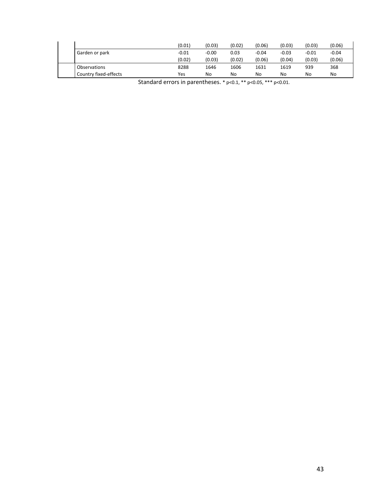|                       | (0.01)  | (0.03   | (0.02) | (0.06)  | (0.03)  | (0.03)  | (0.06)  |
|-----------------------|---------|---------|--------|---------|---------|---------|---------|
| Garden or park        | $-0.01$ | $-0.00$ | 0.03   | $-0.04$ | $-0.03$ | $-0.01$ | $-0.04$ |
|                       | (0.02)  | (0.03)  | (0.02) | (0.06)  | (0.04)  | (0.03)  | (0.06)  |
| <b>Observations</b>   | 8288    | 1646    | 1606   | 1631    | 1619    | 939     | 368     |
| Country fixed-effects | Yes     | No      | No     | No      | No      | No      | No      |